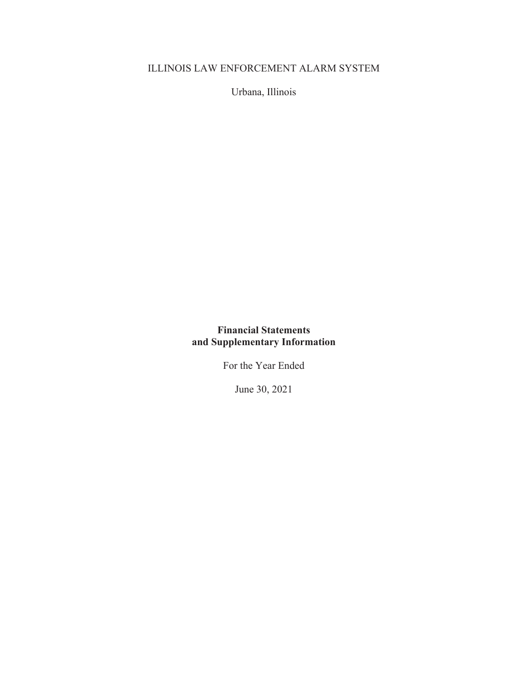# ILLINOIS LAW ENFORCEMENT ALARM SYSTEM

Urbana, Illinois

# **Financial Statements and Supplementary Information**

For the Year Ended

June 30, 2021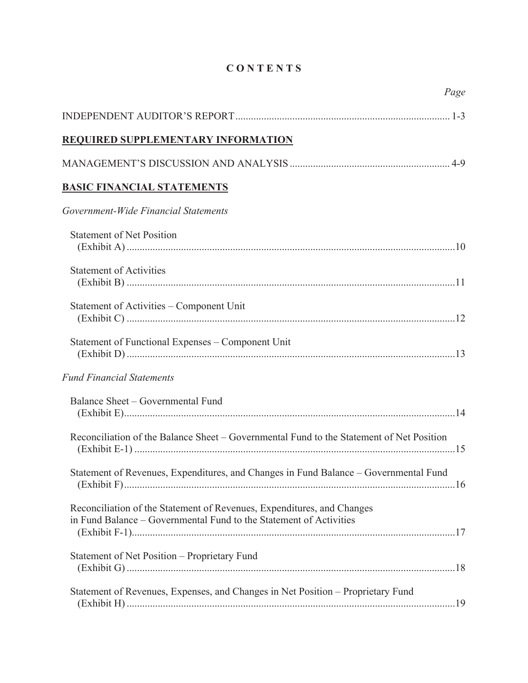# **C O N T E N T S**

| Page                                                                                                                                         |
|----------------------------------------------------------------------------------------------------------------------------------------------|
|                                                                                                                                              |
| REQUIRED SUPPLEMENTARY INFORMATION                                                                                                           |
|                                                                                                                                              |
| <b>BASIC FINANCIAL STATEMENTS</b>                                                                                                            |
| Government-Wide Financial Statements                                                                                                         |
| <b>Statement of Net Position</b>                                                                                                             |
| <b>Statement of Activities</b>                                                                                                               |
| Statement of Activities – Component Unit                                                                                                     |
| Statement of Functional Expenses - Component Unit                                                                                            |
| <b>Fund Financial Statements</b>                                                                                                             |
| Balance Sheet – Governmental Fund                                                                                                            |
| Reconciliation of the Balance Sheet – Governmental Fund to the Statement of Net Position                                                     |
| Statement of Revenues, Expenditures, and Changes in Fund Balance - Governmental Fund                                                         |
| Reconciliation of the Statement of Revenues, Expenditures, and Changes<br>in Fund Balance - Governmental Fund to the Statement of Activities |
| Statement of Net Position - Proprietary Fund                                                                                                 |
| Statement of Revenues, Expenses, and Changes in Net Position - Proprietary Fund                                                              |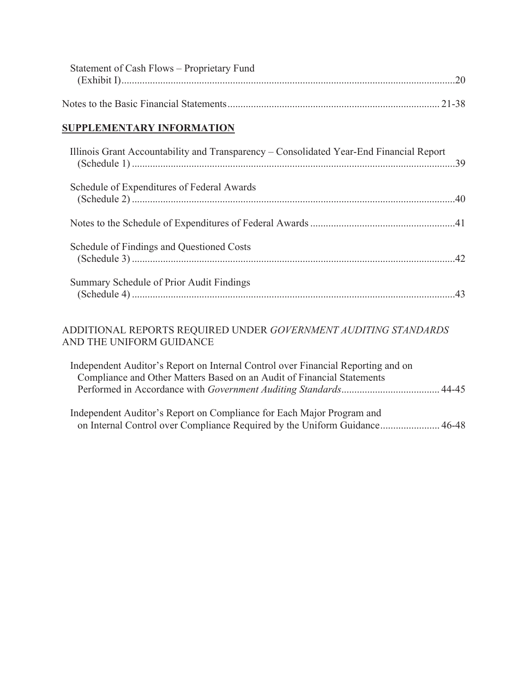| Statement of Cash Flows – Proprietary Fund |  |
|--------------------------------------------|--|
|                                            |  |
|                                            |  |
|                                            |  |

# **SUPPLEMENTARY INFORMATION**

| Illinois Grant Accountability and Transparency - Consolidated Year-End Financial Report |  |
|-----------------------------------------------------------------------------------------|--|
| Schedule of Expenditures of Federal Awards                                              |  |
|                                                                                         |  |
| Schedule of Findings and Questioned Costs                                               |  |
| Summary Schedule of Prior Audit Findings                                                |  |

# ADDITIONAL REPORTS REQUIRED UNDER *GOVERNMENT AUDITING STANDARDS*  AND THE UNIFORM GUIDANCE

| Independent Auditor's Report on Internal Control over Financial Reporting and on |  |
|----------------------------------------------------------------------------------|--|
| Compliance and Other Matters Based on an Audit of Financial Statements           |  |
|                                                                                  |  |
|                                                                                  |  |
| Independent Auditor's Report on Compliance for Each Major Program and            |  |

on Internal Control over Compliance Required by the Uniform Guidance ....................... 46-48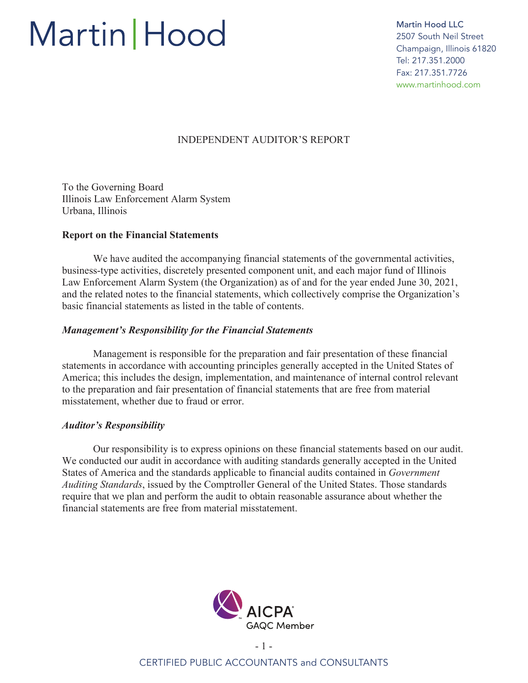# Martin | Hood

Martin Hood LLC 2507 South Neil Street Champaign, Illinois 61820 Tel: 217.351.2000 Fax: 217.351.7726 www.martinhood.com

# INDEPENDENT AUDITOR'S REPORT

To the Governing Board Illinois Law Enforcement Alarm System Urbana, Illinois

#### **Report on the Financial Statements**

We have audited the accompanying financial statements of the governmental activities, business-type activities, discretely presented component unit, and each major fund of Illinois Law Enforcement Alarm System (the Organization) as of and for the year ended June 30, 2021, and the related notes to the financial statements, which collectively comprise the Organization's basic financial statements as listed in the table of contents.

#### *Management's Responsibility for the Financial Statements*

Management is responsible for the preparation and fair presentation of these financial statements in accordance with accounting principles generally accepted in the United States of America; this includes the design, implementation, and maintenance of internal control relevant to the preparation and fair presentation of financial statements that are free from material misstatement, whether due to fraud or error.

#### *Auditor's Responsibility*

Our responsibility is to express opinions on these financial statements based on our audit. We conducted our audit in accordance with auditing standards generally accepted in the United States of America and the standards applicable to financial audits contained in *Government Auditing Standards*, issued by the Comptroller General of the United States. Those standards require that we plan and perform the audit to obtain reasonable assurance about whether the financial statements are free from material misstatement.

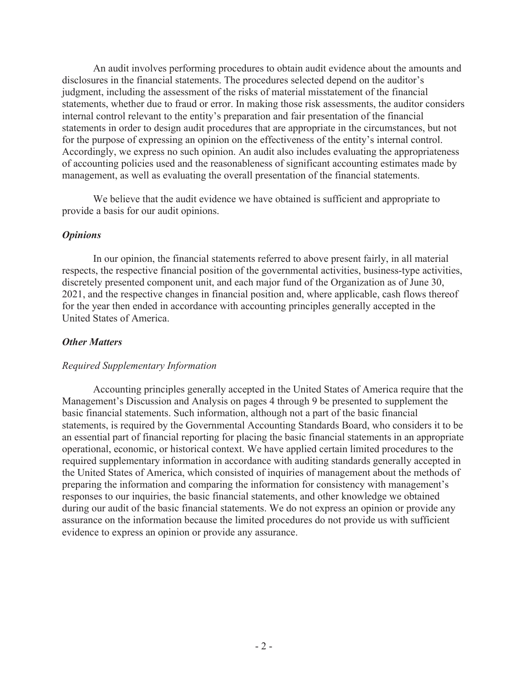An audit involves performing procedures to obtain audit evidence about the amounts and disclosures in the financial statements. The procedures selected depend on the auditor's judgment, including the assessment of the risks of material misstatement of the financial statements, whether due to fraud or error. In making those risk assessments, the auditor considers internal control relevant to the entity's preparation and fair presentation of the financial statements in order to design audit procedures that are appropriate in the circumstances, but not for the purpose of expressing an opinion on the effectiveness of the entity's internal control. Accordingly, we express no such opinion. An audit also includes evaluating the appropriateness of accounting policies used and the reasonableness of significant accounting estimates made by management, as well as evaluating the overall presentation of the financial statements.

 We believe that the audit evidence we have obtained is sufficient and appropriate to provide a basis for our audit opinions.

### *Opinions*

In our opinion, the financial statements referred to above present fairly, in all material respects, the respective financial position of the governmental activities, business-type activities, discretely presented component unit, and each major fund of the Organization as of June 30, 2021, and the respective changes in financial position and, where applicable, cash flows thereof for the year then ended in accordance with accounting principles generally accepted in the United States of America.

# *Other Matters*

#### *Required Supplementary Information*

Accounting principles generally accepted in the United States of America require that the Management's Discussion and Analysis on pages 4 through 9 be presented to supplement the basic financial statements. Such information, although not a part of the basic financial statements, is required by the Governmental Accounting Standards Board, who considers it to be an essential part of financial reporting for placing the basic financial statements in an appropriate operational, economic, or historical context. We have applied certain limited procedures to the required supplementary information in accordance with auditing standards generally accepted in the United States of America, which consisted of inquiries of management about the methods of preparing the information and comparing the information for consistency with management's responses to our inquiries, the basic financial statements, and other knowledge we obtained during our audit of the basic financial statements. We do not express an opinion or provide any assurance on the information because the limited procedures do not provide us with sufficient evidence to express an opinion or provide any assurance.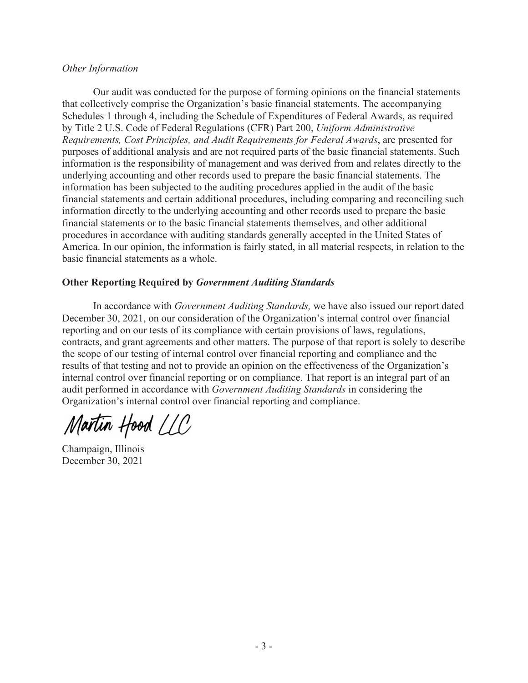#### *Other Information*

Our audit was conducted for the purpose of forming opinions on the financial statements that collectively comprise the Organization's basic financial statements. The accompanying Schedules 1 through 4, including the Schedule of Expenditures of Federal Awards, as required by Title 2 U.S. Code of Federal Regulations (CFR) Part 200, *Uniform Administrative Requirements, Cost Principles, and Audit Requirements for Federal Awards*, are presented for purposes of additional analysis and are not required parts of the basic financial statements. Such information is the responsibility of management and was derived from and relates directly to the underlying accounting and other records used to prepare the basic financial statements. The information has been subjected to the auditing procedures applied in the audit of the basic financial statements and certain additional procedures, including comparing and reconciling such information directly to the underlying accounting and other records used to prepare the basic financial statements or to the basic financial statements themselves, and other additional procedures in accordance with auditing standards generally accepted in the United States of America. In our opinion, the information is fairly stated, in all material respects, in relation to the basic financial statements as a whole.

### **Other Reporting Required by** *Government Auditing Standards*

In accordance with *Government Auditing Standards,* we have also issued our report dated December 30, 2021, on our consideration of the Organization's internal control over financial reporting and on our tests of its compliance with certain provisions of laws, regulations, contracts, and grant agreements and other matters. The purpose of that report is solely to describe the scope of our testing of internal control over financial reporting and compliance and the results of that testing and not to provide an opinion on the effectiveness of the Organization's internal control over financial reporting or on compliance. That report is an integral part of an audit performed in accordance with *Government Auditing Standards* in considering the Organization's internal control over financial reporting and compliance.

Martin Hood LLC

Champaign, Illinois December 30, 2021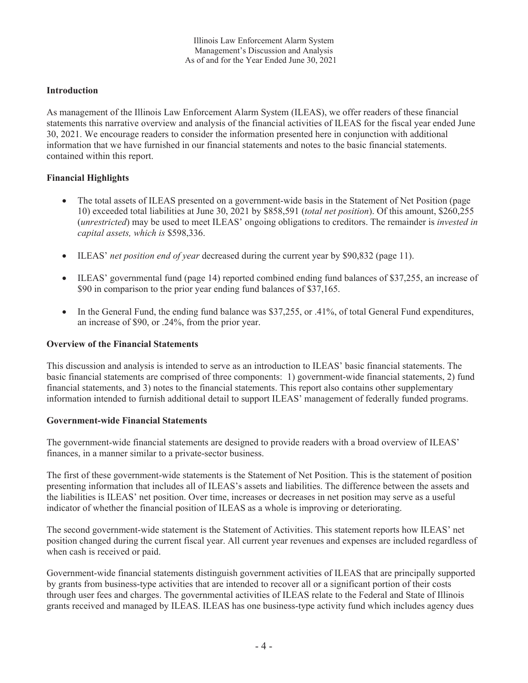Illinois Law Enforcement Alarm System Management's Discussion and Analysis As of and for the Year Ended June 30, 2021

#### **Introduction**

As management of the Illinois Law Enforcement Alarm System (ILEAS), we offer readers of these financial statements this narrative overview and analysis of the financial activities of ILEAS for the fiscal year ended June 30, 2021. We encourage readers to consider the information presented here in conjunction with additional information that we have furnished in our financial statements and notes to the basic financial statements. contained within this report.

#### **Financial Highlights**

- The total assets of ILEAS presented on a government-wide basis in the Statement of Net Position (page) 10) exceeded total liabilities at June 30, 2021 by \$858,591 (*total net position*). Of this amount, \$260,255 (*unrestricted*) may be used to meet ILEAS' ongoing obligations to creditors. The remainder is *invested in capital assets, which is* \$598,336.
- x ILEAS' *net position end of year* decreased during the current year by \$90,832 (page 11).
- ILEAS' governmental fund (page 14) reported combined ending fund balances of \$37,255, an increase of \$90 in comparison to the prior year ending fund balances of \$37,165.
- $\bullet$  In the General Fund, the ending fund balance was \$37,255, or .41%, of total General Fund expenditures, an increase of \$90, or .24%, from the prior year.

#### **Overview of the Financial Statements**

This discussion and analysis is intended to serve as an introduction to ILEAS' basic financial statements. The basic financial statements are comprised of three components: 1) government-wide financial statements, 2) fund financial statements, and 3) notes to the financial statements. This report also contains other supplementary information intended to furnish additional detail to support ILEAS' management of federally funded programs.

#### **Government-wide Financial Statements**

The government-wide financial statements are designed to provide readers with a broad overview of ILEAS' finances, in a manner similar to a private-sector business.

The first of these government-wide statements is the Statement of Net Position. This is the statement of position presenting information that includes all of ILEAS's assets and liabilities. The difference between the assets and the liabilities is ILEAS' net position. Over time, increases or decreases in net position may serve as a useful indicator of whether the financial position of ILEAS as a whole is improving or deteriorating.

The second government-wide statement is the Statement of Activities. This statement reports how ILEAS' net position changed during the current fiscal year. All current year revenues and expenses are included regardless of when cash is received or paid.

Government-wide financial statements distinguish government activities of ILEAS that are principally supported by grants from business-type activities that are intended to recover all or a significant portion of their costs through user fees and charges. The governmental activities of ILEAS relate to the Federal and State of Illinois grants received and managed by ILEAS. ILEAS has one business-type activity fund which includes agency dues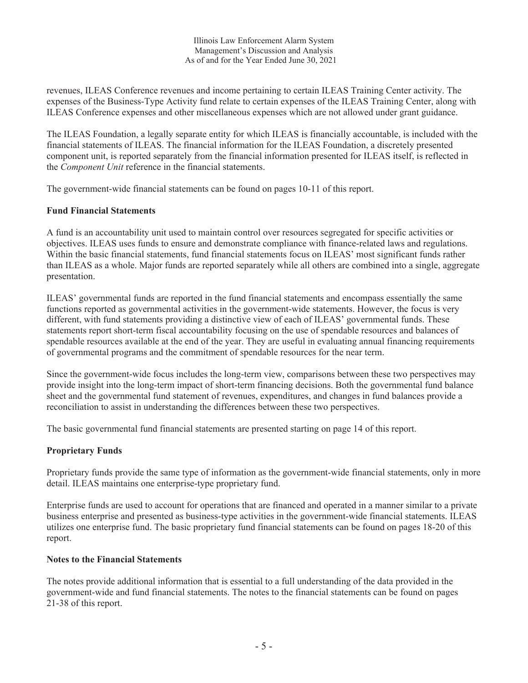Illinois Law Enforcement Alarm System Management's Discussion and Analysis As of and for the Year Ended June 30, 2021

revenues, ILEAS Conference revenues and income pertaining to certain ILEAS Training Center activity. The expenses of the Business-Type Activity fund relate to certain expenses of the ILEAS Training Center, along with ILEAS Conference expenses and other miscellaneous expenses which are not allowed under grant guidance.

The ILEAS Foundation, a legally separate entity for which ILEAS is financially accountable, is included with the financial statements of ILEAS. The financial information for the ILEAS Foundation, a discretely presented component unit, is reported separately from the financial information presented for ILEAS itself, is reflected in the *Component Unit* reference in the financial statements.

The government-wide financial statements can be found on pages 10-11 of this report.

#### **Fund Financial Statements**

A fund is an accountability unit used to maintain control over resources segregated for specific activities or objectives. ILEAS uses funds to ensure and demonstrate compliance with finance-related laws and regulations. Within the basic financial statements, fund financial statements focus on ILEAS' most significant funds rather than ILEAS as a whole. Major funds are reported separately while all others are combined into a single, aggregate presentation.

ILEAS' governmental funds are reported in the fund financial statements and encompass essentially the same functions reported as governmental activities in the government-wide statements. However, the focus is very different, with fund statements providing a distinctive view of each of ILEAS' governmental funds. These statements report short-term fiscal accountability focusing on the use of spendable resources and balances of spendable resources available at the end of the year. They are useful in evaluating annual financing requirements of governmental programs and the commitment of spendable resources for the near term.

Since the government-wide focus includes the long-term view, comparisons between these two perspectives may provide insight into the long-term impact of short-term financing decisions. Both the governmental fund balance sheet and the governmental fund statement of revenues, expenditures, and changes in fund balances provide a reconciliation to assist in understanding the differences between these two perspectives.

The basic governmental fund financial statements are presented starting on page 14 of this report.

#### **Proprietary Funds**

Proprietary funds provide the same type of information as the government-wide financial statements, only in more detail. ILEAS maintains one enterprise-type proprietary fund.

Enterprise funds are used to account for operations that are financed and operated in a manner similar to a private business enterprise and presented as business-type activities in the government-wide financial statements. ILEAS utilizes one enterprise fund. The basic proprietary fund financial statements can be found on pages 18-20 of this report.

#### **Notes to the Financial Statements**

The notes provide additional information that is essential to a full understanding of the data provided in the government-wide and fund financial statements. The notes to the financial statements can be found on pages 21-38 of this report.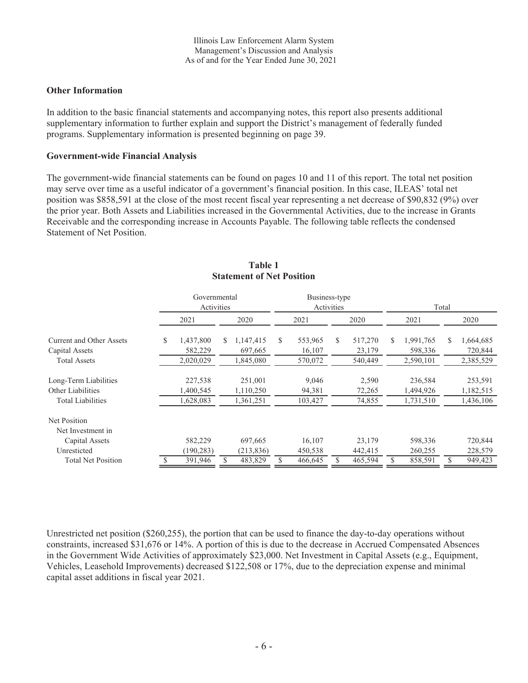#### **Other Information**

In addition to the basic financial statements and accompanying notes, this report also presents additional supplementary information to further explain and support the District's management of federally funded programs. Supplementary information is presented beginning on page 39.

#### **Government-wide Financial Analysis**

The government-wide financial statements can be found on pages 10 and 11 of this report. The total net position may serve over time as a useful indicator of a government's financial position. In this case, ILEAS' total net position was \$858,591 at the close of the most recent fiscal year representing a net decrease of \$90,832 (9%) over the prior year. Both Assets and Liabilities increased in the Governmental Activities, due to the increase in Grants Receivable and the corresponding increase in Accounts Payable. The following table reflects the condensed Statement of Net Position.

|                                                                        |     | Governmental<br>Activities        |    |                                   |    | Business-type<br>Activities |    |                           |    | Total                             |  |                                   |    |           |
|------------------------------------------------------------------------|-----|-----------------------------------|----|-----------------------------------|----|-----------------------------|----|---------------------------|----|-----------------------------------|--|-----------------------------------|----|-----------|
|                                                                        |     | 2021                              |    | 2020                              |    | 2021                        |    | 2020                      |    | 2021                              |  | 2020                              |    |           |
| Current and Other Assets                                               | \$. | 1,437,800                         | S. | 1,147,415                         | S. | 553,965                     | S. | 517,270                   |    | \$                                |  | 1,991,765                         | S. | 1,664,685 |
| Capital Assets<br><b>Total Assets</b>                                  |     | 582,229<br>2,020,029              |    | 697,665<br>1,845,080              |    | 16,107<br>570,072           |    | 23,179<br>540,449         |    | 598,336<br>2,590,101              |  | 720,844<br>2,385,529              |    |           |
| Long-Term Liabilities<br>Other Liabilities<br><b>Total Liabilities</b> |     | 227,538<br>1,400,545<br>1,628,083 |    | 251,001<br>1,110,250<br>1,361,251 |    | 9,046<br>94,381<br>103,427  |    | 2,590<br>72,265<br>74,855 |    | 236,584<br>1,494,926<br>1,731,510 |  | 253,591<br>1,182,515<br>1,436,106 |    |           |
| Net Position<br>Net Investment in<br>Capital Assets<br>Unresticted     |     | 582,229<br>(190, 283)             |    | 697,665<br>(213, 836)             |    | 16,107<br>450,538           |    | 23,179<br>442,415         |    | 598,336<br>260,255                |  | 720,844<br>228,579                |    |           |
| <b>Total Net Position</b>                                              | S   | 391,946                           |    | 483,829                           |    | 466,645                     | \$ | 465,594                   | \$ | 858,591                           |  | 949,423                           |    |           |

#### **Table 1 Statement of Net Position**

Unrestricted net position (\$260,255), the portion that can be used to finance the day-to-day operations without constraints, increased \$31,676 or 14%. A portion of this is due to the decrease in Accrued Compensated Absences in the Government Wide Activities of approximately \$23,000. Net Investment in Capital Assets (e.g., Equipment, Vehicles, Leasehold Improvements) decreased \$122,508 or 17%, due to the depreciation expense and minimal capital asset additions in fiscal year 2021.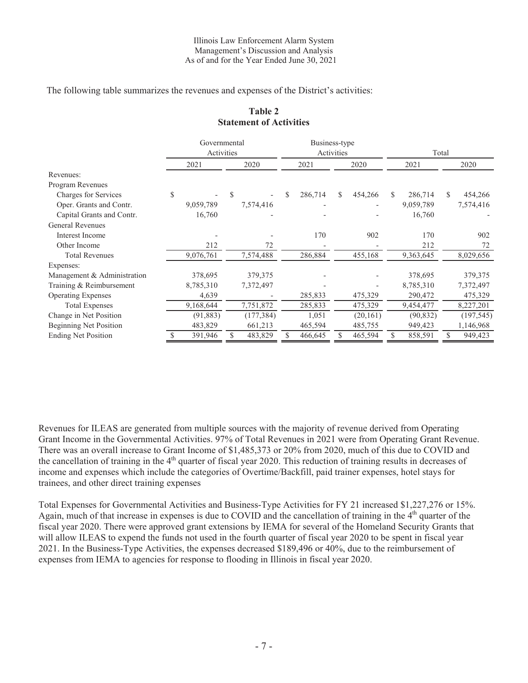The following table summarizes the revenues and expenses of the District's activities:

| Table 2                        |  |
|--------------------------------|--|
| <b>Statement of Activities</b> |  |

|                             | Governmental |            |              | Business-type |               |              |
|-----------------------------|--------------|------------|--------------|---------------|---------------|--------------|
|                             | Activities   |            |              | Activities    |               | Total        |
|                             | 2021         | 2020       | 2021         | 2020          | 2021          | 2020         |
| Revenues:                   |              |            |              |               |               |              |
| Program Revenues            |              |            |              |               |               |              |
| Charges for Services        | \$           |            | 286,714<br>S | 454,266<br>S  | S.<br>286,714 | 454,266<br>S |
| Oper. Grants and Contr.     | 9,059,789    | 7,574,416  |              |               | 9,059,789     | 7,574,416    |
| Capital Grants and Contr.   | 16,760       |            |              |               | 16,760        |              |
| <b>General Revenues</b>     |              |            |              |               |               |              |
| Interest Income             |              |            | 170          | 902           | 170           | 902          |
| Other Income                | 212          | 72         |              |               | 212           | 72           |
| <b>Total Revenues</b>       | 9,076,761    | 7,574,488  | 286,884      | 455,168       | 9,363,645     | 8,029,656    |
| Expenses:                   |              |            |              |               |               |              |
| Management & Administration | 378,695      | 379,375    |              |               | 378,695       | 379,375      |
| Training & Reimbursement    | 8,785,310    | 7,372,497  |              |               | 8,785,310     | 7,372,497    |
| <b>Operating Expenses</b>   | 4,639        |            | 285,833      | 475,329       | 290,472       | 475,329      |
| <b>Total Expenses</b>       | 9,168,644    | 7,751,872  | 285,833      | 475,329       | 9,454,477     | 8,227,201    |
| Change in Net Position      | (91, 883)    | (177, 384) | 1,051        | (20,161)      | (90, 832)     | (197, 545)   |
| Beginning Net Position      | 483,829      | 661,213    | 465,594      | 485,755       | 949,423       | 1,146,968    |
| <b>Ending Net Position</b>  | 391,946      | 483,829    | 466,645      | 465,594       | 858,591       | 949,423      |

Revenues for ILEAS are generated from multiple sources with the majority of revenue derived from Operating Grant Income in the Governmental Activities. 97% of Total Revenues in 2021 were from Operating Grant Revenue. There was an overall increase to Grant Income of \$1,485,373 or 20% from 2020, much of this due to COVID and the cancellation of training in the 4<sup>th</sup> quarter of fiscal year 2020. This reduction of training results in decreases of income and expenses which include the categories of Overtime/Backfill, paid trainer expenses, hotel stays for trainees, and other direct training expenses

Total Expenses for Governmental Activities and Business-Type Activities for FY 21 increased \$1,227,276 or 15%. Again, much of that increase in expenses is due to COVID and the cancellation of training in the 4<sup>th</sup> quarter of the fiscal year 2020. There were approved grant extensions by IEMA for several of the Homeland Security Grants that will allow ILEAS to expend the funds not used in the fourth quarter of fiscal year 2020 to be spent in fiscal year 2021. In the Business-Type Activities, the expenses decreased \$189,496 or 40%, due to the reimbursement of expenses from IEMA to agencies for response to flooding in Illinois in fiscal year 2020.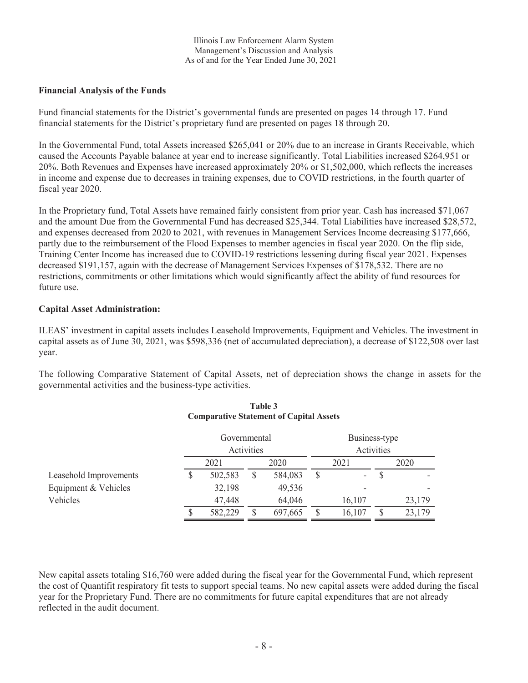Illinois Law Enforcement Alarm System Management's Discussion and Analysis As of and for the Year Ended June 30, 2021

#### **Financial Analysis of the Funds**

Fund financial statements for the District's governmental funds are presented on pages 14 through 17. Fund financial statements for the District's proprietary fund are presented on pages 18 through 20.

In the Governmental Fund, total Assets increased \$265,041 or 20% due to an increase in Grants Receivable, which caused the Accounts Payable balance at year end to increase significantly. Total Liabilities increased \$264,951 or 20%. Both Revenues and Expenses have increased approximately 20% or \$1,502,000, which reflects the increases in income and expense due to decreases in training expenses, due to COVID restrictions, in the fourth quarter of fiscal year 2020.

In the Proprietary fund, Total Assets have remained fairly consistent from prior year. Cash has increased \$71,067 and the amount Due from the Governmental Fund has decreased \$25,344. Total Liabilities have increased \$28,572, and expenses decreased from 2020 to 2021, with revenues in Management Services Income decreasing \$177,666, partly due to the reimbursement of the Flood Expenses to member agencies in fiscal year 2020. On the flip side, Training Center Income has increased due to COVID-19 restrictions lessening during fiscal year 2021. Expenses decreased \$191,157, again with the decrease of Management Services Expenses of \$178,532. There are no restrictions, commitments or other limitations which would significantly affect the ability of fund resources for future use.

#### **Capital Asset Administration:**

ILEAS' investment in capital assets includes Leasehold Improvements, Equipment and Vehicles. The investment in capital assets as of June 30, 2021, was \$598,336 (net of accumulated depreciation), a decrease of \$122,508 over last year.

The following Comparative Statement of Capital Assets, net of depreciation shows the change in assets for the governmental activities and the business-type activities.

|                        |   | Governmental | Activities |         |        | Business-type<br>Activities |        |  |  |
|------------------------|---|--------------|------------|---------|--------|-----------------------------|--------|--|--|
|                        |   | 2021         |            | 2020    | 2021   | 2020                        |        |  |  |
| Leasehold Improvements | D | 502,583      | \$         | 584,083 | ۰      |                             |        |  |  |
| Equipment & Vehicles   |   | 32,198       |            | 49,536  |        |                             |        |  |  |
| Vehicles               |   | 47,448       |            | 64,046  | 16,107 |                             | 23,179 |  |  |
|                        |   | 582,229      | S          | 697,665 | 16,107 |                             | 23,179 |  |  |

#### **Table 3 Comparative Statement of Capital Assets**

New capital assets totaling \$16,760 were added during the fiscal year for the Governmental Fund, which represent the cost of Quantifit respiratory fit tests to support special teams. No new capital assets were added during the fiscal year for the Proprietary Fund. There are no commitments for future capital expenditures that are not already reflected in the audit document.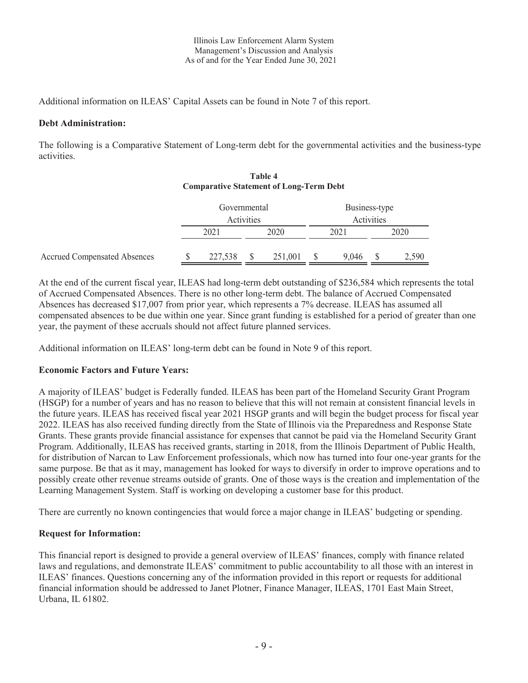Illinois Law Enforcement Alarm System Management's Discussion and Analysis As of and for the Year Ended June 30, 2021

Additional information on ILEAS' Capital Assets can be found in Note 7 of this report.

#### **Debt Administration:**

The following is a Comparative Statement of Long-term debt for the governmental activities and the business-type activities.

|                                     |            | Governmental |  |         |  | Business-type |            |       |  |
|-------------------------------------|------------|--------------|--|---------|--|---------------|------------|-------|--|
|                                     | Activities |              |  |         |  |               | Activities |       |  |
|                                     |            | 2021         |  | 2020    |  | 2021          | 2020       |       |  |
| <b>Accrued Compensated Absences</b> |            | 227,538      |  | 251,001 |  | 9.046         |            | 2,590 |  |

#### **Table 4 Comparative Statement of Long-Term Debt**

At the end of the current fiscal year, ILEAS had long-term debt outstanding of \$236,584 which represents the total of Accrued Compensated Absences. There is no other long-term debt. The balance of Accrued Compensated Absences has decreased \$17,007 from prior year, which represents a 7% decrease. ILEAS has assumed all compensated absences to be due within one year. Since grant funding is established for a period of greater than one year, the payment of these accruals should not affect future planned services.

Additional information on ILEAS' long-term debt can be found in Note 9 of this report.

#### **Economic Factors and Future Years:**

A majority of ILEAS' budget is Federally funded. ILEAS has been part of the Homeland Security Grant Program (HSGP) for a number of years and has no reason to believe that this will not remain at consistent financial levels in the future years. ILEAS has received fiscal year 2021 HSGP grants and will begin the budget process for fiscal year 2022. ILEAS has also received funding directly from the State of Illinois via the Preparedness and Response State Grants. These grants provide financial assistance for expenses that cannot be paid via the Homeland Security Grant Program. Additionally, ILEAS has received grants, starting in 2018, from the Illinois Department of Public Health, for distribution of Narcan to Law Enforcement professionals, which now has turned into four one-year grants for the same purpose. Be that as it may, management has looked for ways to diversify in order to improve operations and to possibly create other revenue streams outside of grants. One of those ways is the creation and implementation of the Learning Management System. Staff is working on developing a customer base for this product.

There are currently no known contingencies that would force a major change in ILEAS' budgeting or spending.

#### **Request for Information:**

This financial report is designed to provide a general overview of ILEAS' finances, comply with finance related laws and regulations, and demonstrate ILEAS' commitment to public accountability to all those with an interest in ILEAS' finances. Questions concerning any of the information provided in this report or requests for additional financial information should be addressed to Janet Plotner, Finance Manager, ILEAS, 1701 East Main Street, Urbana, IL 61802.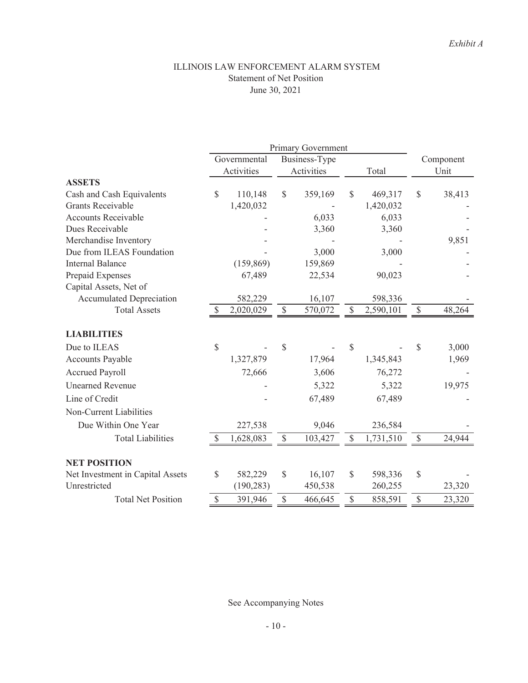### ILLINOIS LAW ENFORCEMENT ALARM SYSTEM Statement of Net Position June 30, 2021

|                                  | Governmental              |            |               | Business-Type |               |           |               | Component |  |
|----------------------------------|---------------------------|------------|---------------|---------------|---------------|-----------|---------------|-----------|--|
|                                  |                           | Activities |               | Activities    |               | Total     | Unit          |           |  |
| <b>ASSETS</b>                    |                           |            |               |               |               |           |               |           |  |
| Cash and Cash Equivalents        | $\mathcal{S}$             | 110,148    | $\mathcal{S}$ | 359,169       | $\mathcal{S}$ | 469,317   | $\mathcal{S}$ | 38,413    |  |
| <b>Grants Receivable</b>         |                           | 1,420,032  |               |               |               | 1,420,032 |               |           |  |
| <b>Accounts Receivable</b>       |                           |            |               | 6,033         |               | 6,033     |               |           |  |
| Dues Receivable                  |                           |            |               | 3,360         |               | 3,360     |               |           |  |
| Merchandise Inventory            |                           |            |               |               |               |           |               | 9,851     |  |
| Due from ILEAS Foundation        |                           |            |               | 3,000         |               | 3,000     |               |           |  |
| <b>Internal Balance</b>          |                           | (159, 869) |               | 159,869       |               |           |               |           |  |
| Prepaid Expenses                 |                           | 67,489     |               | 22,534        |               | 90,023    |               |           |  |
| Capital Assets, Net of           |                           |            |               |               |               |           |               |           |  |
| <b>Accumulated Depreciation</b>  |                           | 582,229    |               | 16,107        |               | 598,336   |               |           |  |
| <b>Total Assets</b>              | <sup>\$</sup>             | 2,020,029  | $\mathcal{S}$ | 570,072       | $\mathcal{S}$ | 2,590,101 | $\mathcal{S}$ | 48,264    |  |
| <b>LIABILITIES</b>               |                           |            |               |               |               |           |               |           |  |
| Due to ILEAS                     | $\mathcal{S}$             |            | $\mathcal{S}$ |               | $\mathcal{S}$ |           | $\mathcal{S}$ | 3,000     |  |
| <b>Accounts Payable</b>          |                           | 1,327,879  |               | 17,964        |               | 1,345,843 |               | 1,969     |  |
| <b>Accrued Payroll</b>           |                           | 72,666     |               | 3,606         |               | 76,272    |               |           |  |
| <b>Unearned Revenue</b>          |                           |            |               | 5,322         |               | 5,322     |               | 19,975    |  |
| Line of Credit                   |                           |            |               | 67,489        |               | 67,489    |               |           |  |
| Non-Current Liabilities          |                           |            |               |               |               |           |               |           |  |
| Due Within One Year              |                           | 227,538    |               | 9,046         |               | 236,584   |               |           |  |
| <b>Total Liabilities</b>         |                           | 1,628,083  | $\mathbb S$   | 103,427       | $\mathcal{S}$ | 1,731,510 | $\mathbb{S}$  | 24,944    |  |
| <b>NET POSITION</b>              |                           |            |               |               |               |           |               |           |  |
| Net Investment in Capital Assets | \$                        | 582,229    | $\mathcal{S}$ | 16,107        | \$            | 598,336   | $\mathcal{S}$ |           |  |
| Unrestricted                     |                           | (190, 283) |               | 450,538       |               | 260,255   |               | 23,320    |  |
| <b>Total Net Position</b>        | $\boldsymbol{\mathsf{S}}$ | 391,946    | \$            | 466,645       | $\mathbb{S}$  | 858,591   | \$            | 23,320    |  |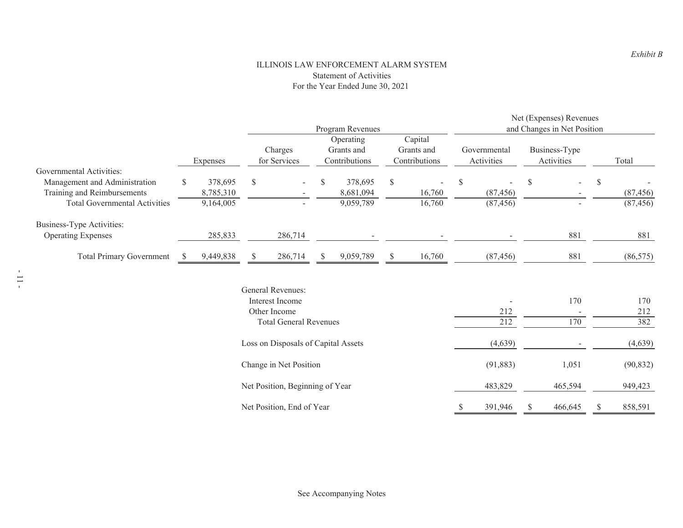#### ILLINOIS LAW ENFORCEMENT ALARM SYSTEM Statement of Activities For the Year Ended June 30, 2021

|                                      |   |           |               |                                     |   |               |               |            |    |              |              | Net (Expenses) Revenues     |       |           |
|--------------------------------------|---|-----------|---------------|-------------------------------------|---|---------------|---------------|------------|----|--------------|--------------|-----------------------------|-------|-----------|
|                                      |   |           |               | Program Revenues                    |   |               |               |            |    |              |              | and Changes in Net Position |       |           |
|                                      |   |           |               |                                     |   | Operating     |               | Capital    |    |              |              |                             |       |           |
|                                      |   |           |               | Charges                             |   | Grants and    |               | Grants and |    | Governmental |              | Business-Type               |       |           |
|                                      |   | Expenses  |               | for Services                        |   | Contributions | Contributions |            |    | Activities   | Activities   |                             | Total |           |
| Governmental Activities:             |   |           |               |                                     |   |               |               |            |    |              |              |                             |       |           |
| Management and Administration        | S | 378,695   | $\mathcal{S}$ |                                     | S | 378,695       | \$            |            | \$ |              | <sup>S</sup> |                             | \$    |           |
| Training and Reimbursements          |   | 8,785,310 |               |                                     |   | 8,681,094     |               | 16,760     |    | (87, 456)    |              |                             |       | (87, 456) |
| <b>Total Governmental Activities</b> |   | 9,164,005 |               |                                     |   | 9,059,789     |               | 16,760     |    | (87, 456)    |              |                             |       | (87, 456) |
| <b>Business-Type Activities:</b>     |   |           |               |                                     |   |               |               |            |    |              |              |                             |       |           |
| <b>Operating Expenses</b>            |   | 285,833   |               | 286,714                             |   |               |               |            |    |              |              | 881                         |       | 881       |
| <b>Total Primary Government</b>      |   | 9,449,838 | \$            | 286,714                             | S | 9,059,789     | \$            | 16,760     |    | (87, 456)    |              | 881                         |       | (86, 575) |
|                                      |   |           |               | <b>General Revenues:</b>            |   |               |               |            |    |              |              |                             |       |           |
|                                      |   |           |               | Interest Income                     |   |               |               |            |    |              |              | 170                         |       | 170       |
|                                      |   |           |               | Other Income                        |   |               |               |            |    | 212          |              |                             |       | 212       |
|                                      |   |           |               | <b>Total General Revenues</b>       |   |               |               |            |    | 212          |              | 170                         |       | 382       |
|                                      |   |           |               |                                     |   |               |               |            |    |              |              |                             |       |           |
|                                      |   |           |               | Loss on Disposals of Capital Assets |   |               |               |            |    | (4, 639)     |              |                             |       | (4,639)   |
|                                      |   |           |               | Change in Net Position              |   |               |               |            |    | (91, 883)    |              | 1,051                       |       | (90, 832) |
|                                      |   |           |               | Net Position, Beginning of Year     |   |               |               |            |    | 483,829      |              | 465,594                     |       | 949,423   |
|                                      |   |           |               | Net Position, End of Year           |   |               |               |            | S  | 391,946      | <sup>8</sup> | 466,645                     | S     | 858,591   |

- 11 -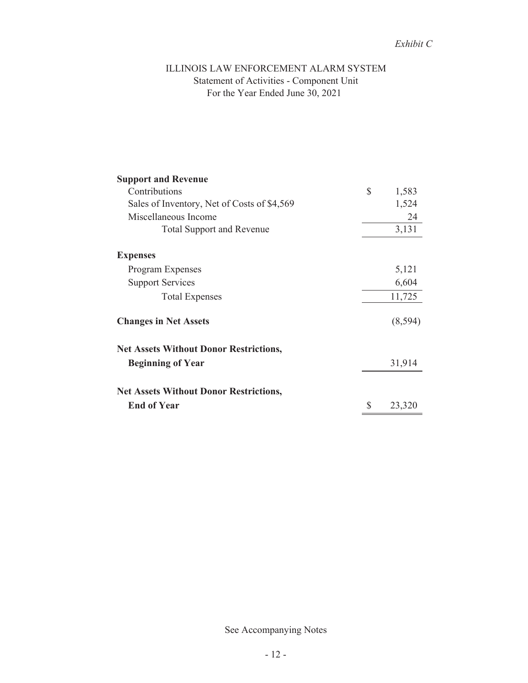# *Exhibit C*

# ILLINOIS LAW ENFORCEMENT ALARM SYSTEM Statement of Activities - Component Unit For the Year Ended June 30, 2021

| <b>Support and Revenue</b>                    |              |
|-----------------------------------------------|--------------|
| Contributions                                 | \$<br>1,583  |
| Sales of Inventory, Net of Costs of \$4,569   | 1,524        |
| Miscellaneous Income                          | 24           |
| <b>Total Support and Revenue</b>              | 3,131        |
| <b>Expenses</b>                               |              |
| Program Expenses                              | 5,121        |
| <b>Support Services</b>                       | 6,604        |
| <b>Total Expenses</b>                         | 11,725       |
| <b>Changes in Net Assets</b>                  | (8,594)      |
| <b>Net Assets Without Donor Restrictions,</b> |              |
| <b>Beginning of Year</b>                      | 31,914       |
| <b>Net Assets Without Donor Restrictions,</b> |              |
| <b>End of Year</b>                            | \$<br>23,320 |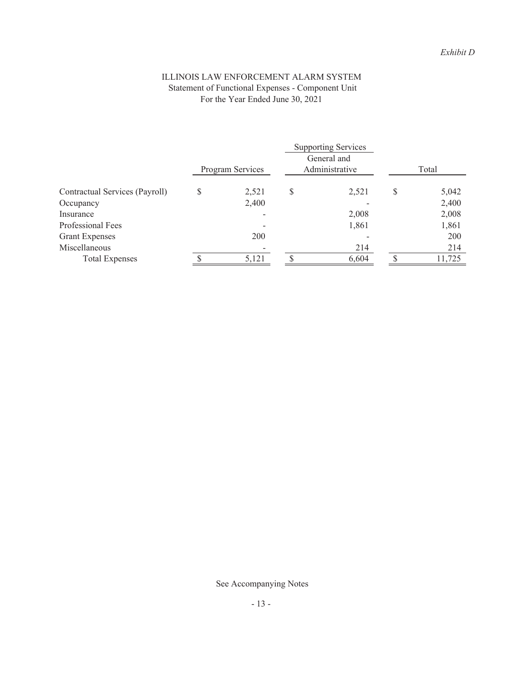#### ILLINOIS LAW ENFORCEMENT ALARM SYSTEM Statement of Functional Expenses - Component Unit For the Year Ended June 30, 2021

|                                |                  | <b>Supporting Services</b>    |   |        |
|--------------------------------|------------------|-------------------------------|---|--------|
|                                | Program Services | General and<br>Administrative |   | Total  |
|                                |                  |                               |   |        |
| Contractual Services (Payroll) | \$<br>2,521      | \$<br>2,521                   | S | 5,042  |
| Occupancy                      | 2,400            |                               |   | 2,400  |
| Insurance                      |                  | 2,008                         |   | 2,008  |
| Professional Fees              |                  | 1,861                         |   | 1,861  |
| <b>Grant Expenses</b>          | 200              |                               |   | 200    |
| Miscellaneous                  |                  | 214                           |   | 214    |
| <b>Total Expenses</b>          | 5,121            | 6,604                         |   | 11,725 |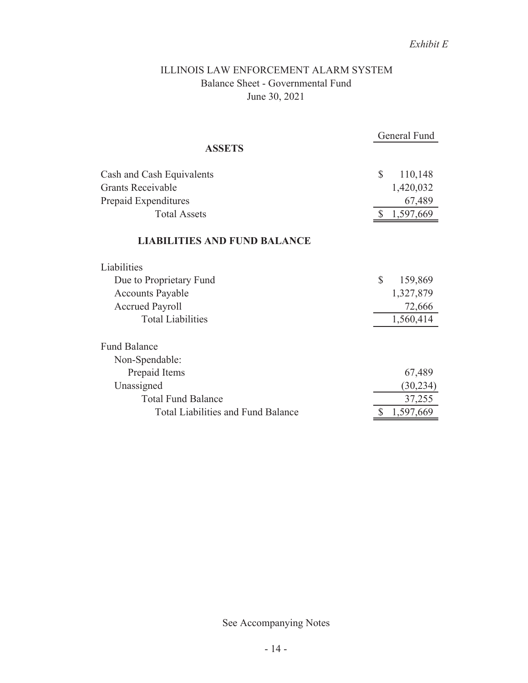# ILLINOIS LAW ENFORCEMENT ALARM SYSTEM Balance Sheet - Governmental Fund June 30, 2021

|                                           |              | General Fund |
|-------------------------------------------|--------------|--------------|
| <b>ASSETS</b>                             |              |              |
| Cash and Cash Equivalents                 | $\mathbb{S}$ | 110,148      |
| <b>Grants Receivable</b>                  |              | 1,420,032    |
| Prepaid Expenditures                      |              | 67,489       |
| <b>Total Assets</b>                       |              | 1,597,669    |
| <b>LIABILITIES AND FUND BALANCE</b>       |              |              |
| Liabilities                               |              |              |
| Due to Proprietary Fund                   | $\mathbb{S}$ | 159,869      |
| <b>Accounts Payable</b>                   |              | 1,327,879    |
| <b>Accrued Payroll</b>                    |              | 72,666       |
| <b>Total Liabilities</b>                  |              | 1,560,414    |
| <b>Fund Balance</b>                       |              |              |
| Non-Spendable:                            |              |              |
| Prepaid Items                             |              | 67,489       |
| Unassigned                                |              | (30, 234)    |
| <b>Total Fund Balance</b>                 |              | 37,255       |
| <b>Total Liabilities and Fund Balance</b> |              | 1,597,669    |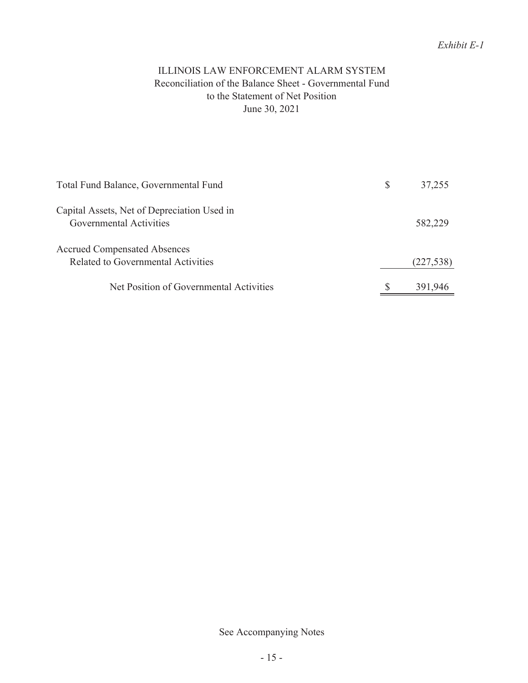# ILLINOIS LAW ENFORCEMENT ALARM SYSTEM Reconciliation of the Balance Sheet - Governmental Fund to the Statement of Net Position June 30, 2021

| Total Fund Balance, Governmental Fund                                     |  | 37,255     |
|---------------------------------------------------------------------------|--|------------|
| Capital Assets, Net of Depreciation Used in<br>Governmental Activities    |  | 582,229    |
| <b>Accrued Compensated Absences</b><br>Related to Governmental Activities |  | (227, 538) |
| Net Position of Governmental Activities                                   |  | 391,946    |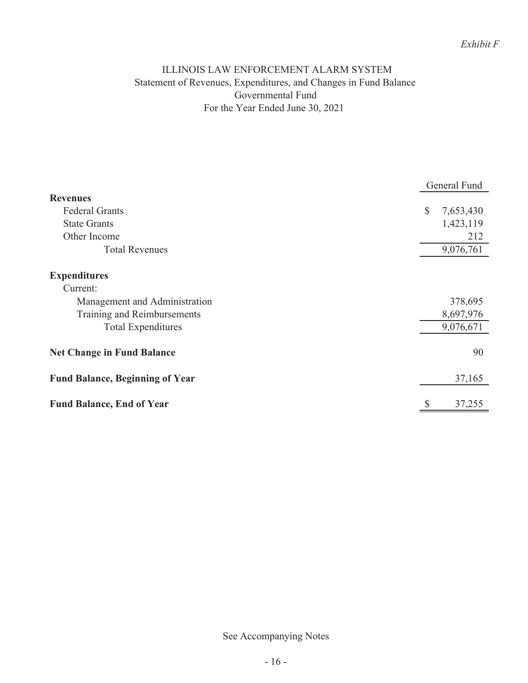# ILLINOIS LAW ENFORCEMENT ALARM SYSTEM Statement of Revenues, Expenditures, and Changes in Fund Balance Governmental Fund For the Year Ended June 30, 2021

|                                        | General Fund  |           |
|----------------------------------------|---------------|-----------|
| <b>Revenues</b>                        |               |           |
| <b>Federal Grants</b>                  | $\mathcal{S}$ | 7,653,430 |
| <b>State Grants</b>                    |               | 1,423,119 |
| Other Income                           |               | 212       |
| <b>Total Revenues</b>                  |               | 9,076,761 |
| <b>Expenditures</b>                    |               |           |
| Current:                               |               |           |
| Management and Administration          |               | 378,695   |
| Training and Reimbursements            |               | 8,697,976 |
| <b>Total Expenditures</b>              |               | 9,076,671 |
| <b>Net Change in Fund Balance</b>      |               | 90        |
| <b>Fund Balance, Beginning of Year</b> |               | 37,165    |
| <b>Fund Balance, End of Year</b>       | \$            | 37,255    |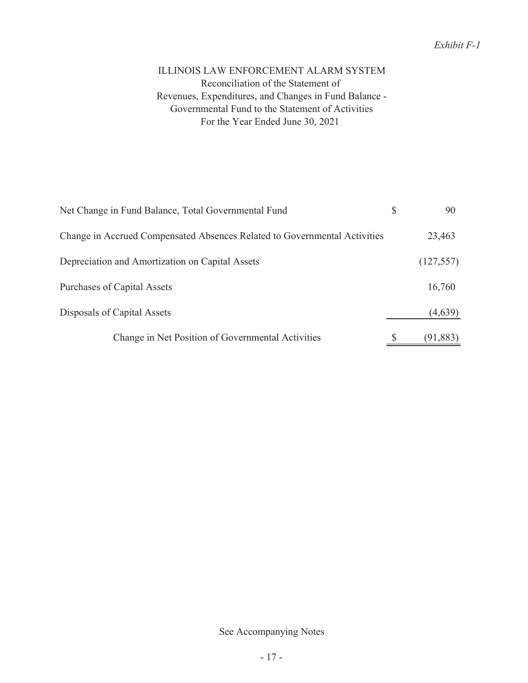# *Exhibit F-1*

# Governmental Fund to the Statement of Activities For the Year Ended June 30, 2021 ILLINOIS LAW ENFORCEMENT ALARM SYSTEM Reconciliation of the Statement of Revenues, Expenditures, and Changes in Fund Balance -

| Net Change in Fund Balance, Total Governmental Fund                       | \$<br>90   |
|---------------------------------------------------------------------------|------------|
| Change in Accrued Compensated Absences Related to Governmental Activities | 23,463     |
| Depreciation and Amortization on Capital Assets                           | (127, 557) |
| Purchases of Capital Assets                                               | 16,760     |
| Disposals of Capital Assets                                               | (4,639)    |
| Change in Net Position of Governmental Activities                         | (91, 883)  |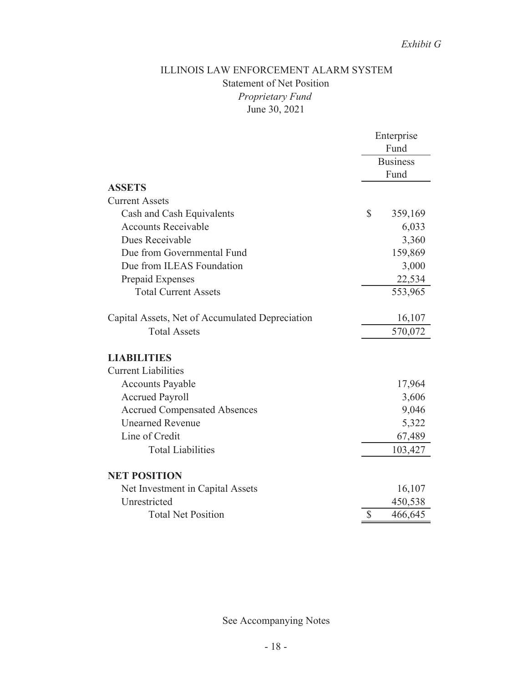# ILLINOIS LAW ENFORCEMENT ALARM SYSTEM Statement of Net Position *Proprietary Fund* June 30, 2021

|                                                 |                 | Enterprise |
|-------------------------------------------------|-----------------|------------|
|                                                 | Fund            |            |
|                                                 | <b>Business</b> |            |
|                                                 |                 | Fund       |
| <b>ASSETS</b>                                   |                 |            |
| <b>Current Assets</b>                           |                 |            |
| Cash and Cash Equivalents                       | $\mathbb{S}$    | 359,169    |
| <b>Accounts Receivable</b>                      |                 | 6,033      |
| Dues Receivable                                 |                 | 3,360      |
| Due from Governmental Fund                      |                 | 159,869    |
| Due from ILEAS Foundation                       |                 | 3,000      |
| Prepaid Expenses                                |                 | 22,534     |
| <b>Total Current Assets</b>                     |                 | 553,965    |
|                                                 |                 |            |
| Capital Assets, Net of Accumulated Depreciation |                 | 16,107     |
| <b>Total Assets</b>                             |                 | 570,072    |
|                                                 |                 |            |
| <b>LIABILITIES</b>                              |                 |            |
| <b>Current Liabilities</b>                      |                 |            |
| <b>Accounts Payable</b>                         |                 | 17,964     |
| <b>Accrued Payroll</b>                          |                 | 3,606      |
| <b>Accrued Compensated Absences</b>             |                 | 9,046      |
| <b>Unearned Revenue</b>                         |                 | 5,322      |
| Line of Credit                                  |                 | 67,489     |
| <b>Total Liabilities</b>                        |                 | 103,427    |
|                                                 |                 |            |
| <b>NET POSITION</b>                             |                 |            |
| Net Investment in Capital Assets                |                 | 16,107     |
| Unrestricted                                    |                 | 450,538    |
| <b>Total Net Position</b>                       | $\mathcal{S}$   | 466,645    |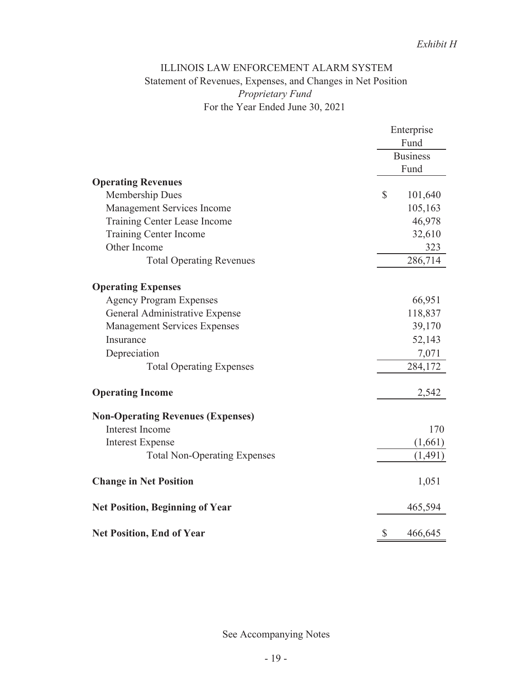# ILLINOIS LAW ENFORCEMENT ALARM SYSTEM Statement of Revenues, Expenses, and Changes in Net Position *Proprietary Fund* For the Year Ended June 30, 2021

|                                          | Enterprise<br>Fund      |
|------------------------------------------|-------------------------|
|                                          | <b>Business</b><br>Fund |
| <b>Operating Revenues</b>                |                         |
| <b>Membership Dues</b>                   | $\mathbb{S}$<br>101,640 |
| Management Services Income               | 105,163                 |
| Training Center Lease Income             | 46,978                  |
| Training Center Income                   | 32,610                  |
| Other Income                             | 323                     |
| <b>Total Operating Revenues</b>          | 286,714                 |
| <b>Operating Expenses</b>                |                         |
| <b>Agency Program Expenses</b>           | 66,951                  |
| General Administrative Expense           | 118,837                 |
| <b>Management Services Expenses</b>      | 39,170                  |
| Insurance                                | 52,143                  |
| Depreciation                             | 7,071                   |
| <b>Total Operating Expenses</b>          | 284,172                 |
| <b>Operating Income</b>                  | 2,542                   |
| <b>Non-Operating Revenues (Expenses)</b> |                         |
| Interest Income                          | 170                     |
| <b>Interest Expense</b>                  | (1,661)                 |
| <b>Total Non-Operating Expenses</b>      | (1,491)                 |
| <b>Change in Net Position</b>            | 1,051                   |
| <b>Net Position, Beginning of Year</b>   | 465,594                 |
| <b>Net Position, End of Year</b>         | \$<br>466,645           |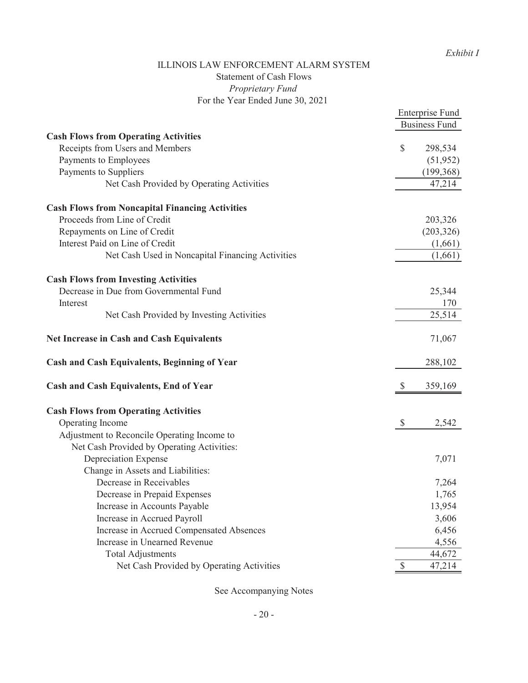#### ILLINOIS LAW ENFORCEMENT ALARM SYSTEM

### Statement of Cash Flows *Proprietary Fund* For the Year Ended June 30, 2021

|                                                        | <b>Enterprise Fund</b>               |  |
|--------------------------------------------------------|--------------------------------------|--|
|                                                        | <b>Business Fund</b>                 |  |
| <b>Cash Flows from Operating Activities</b>            |                                      |  |
| Receipts from Users and Members                        | \$<br>298,534                        |  |
| Payments to Employees                                  | (51, 952)                            |  |
| Payments to Suppliers                                  | (199, 368)                           |  |
| Net Cash Provided by Operating Activities              | 47,214                               |  |
| <b>Cash Flows from Noncapital Financing Activities</b> |                                      |  |
| Proceeds from Line of Credit                           | 203,326                              |  |
| Repayments on Line of Credit                           | (203, 326)                           |  |
| Interest Paid on Line of Credit                        | (1,661)                              |  |
| Net Cash Used in Noncapital Financing Activities       | (1,661)                              |  |
| <b>Cash Flows from Investing Activities</b>            |                                      |  |
| Decrease in Due from Governmental Fund                 | 25,344                               |  |
| Interest                                               | 170                                  |  |
| Net Cash Provided by Investing Activities              | 25,514                               |  |
|                                                        |                                      |  |
| <b>Net Increase in Cash and Cash Equivalents</b>       | 71,067                               |  |
| <b>Cash and Cash Equivalents, Beginning of Year</b>    | 288,102                              |  |
| Cash and Cash Equivalents, End of Year                 | $\boldsymbol{\mathsf{S}}$<br>359,169 |  |
| <b>Cash Flows from Operating Activities</b>            |                                      |  |
| Operating Income                                       | $\boldsymbol{\mathsf{S}}$<br>2,542   |  |
| Adjustment to Reconcile Operating Income to            |                                      |  |
| Net Cash Provided by Operating Activities:             |                                      |  |
| Depreciation Expense                                   | 7,071                                |  |
| Change in Assets and Liabilities:                      |                                      |  |
| Decrease in Receivables                                | 7,264                                |  |
| Decrease in Prepaid Expenses                           | 1,765                                |  |
| Increase in Accounts Payable                           | 13,954                               |  |
| Increase in Accrued Payroll                            | 3,606                                |  |
| Increase in Accrued Compensated Absences               | 6,456                                |  |
| Increase in Unearned Revenue                           | 4,556                                |  |
| <b>Total Adjustments</b>                               | 44,672                               |  |
| Net Cash Provided by Operating Activities              | $\mathcal{S}$<br>47,214              |  |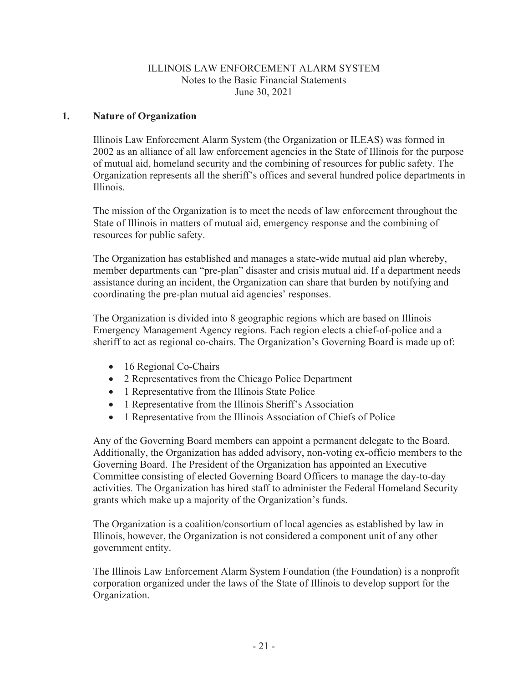# **1. Nature of Organization**

Illinois Law Enforcement Alarm System (the Organization or ILEAS) was formed in 2002 as an alliance of all law enforcement agencies in the State of Illinois for the purpose of mutual aid, homeland security and the combining of resources for public safety. The Organization represents all the sheriff's offices and several hundred police departments in Illinois.

The mission of the Organization is to meet the needs of law enforcement throughout the State of Illinois in matters of mutual aid, emergency response and the combining of resources for public safety.

The Organization has established and manages a state-wide mutual aid plan whereby, member departments can "pre-plan" disaster and crisis mutual aid. If a department needs assistance during an incident, the Organization can share that burden by notifying and coordinating the pre-plan mutual aid agencies' responses.

The Organization is divided into 8 geographic regions which are based on Illinois Emergency Management Agency regions. Each region elects a chief-of-police and a sheriff to act as regional co-chairs. The Organization's Governing Board is made up of:

- $\bullet$  16 Regional Co-Chairs
- 2 Representatives from the Chicago Police Department
- 1 Representative from the Illinois State Police
- 1 Representative from the Illinois Sheriff's Association
- 1 Representative from the Illinois Association of Chiefs of Police

Any of the Governing Board members can appoint a permanent delegate to the Board. Additionally, the Organization has added advisory, non-voting ex-officio members to the Governing Board. The President of the Organization has appointed an Executive Committee consisting of elected Governing Board Officers to manage the day-to-day activities. The Organization has hired staff to administer the Federal Homeland Security grants which make up a majority of the Organization's funds.

The Organization is a coalition/consortium of local agencies as established by law in Illinois, however, the Organization is not considered a component unit of any other government entity.

The Illinois Law Enforcement Alarm System Foundation (the Foundation) is a nonprofit corporation organized under the laws of the State of Illinois to develop support for the Organization.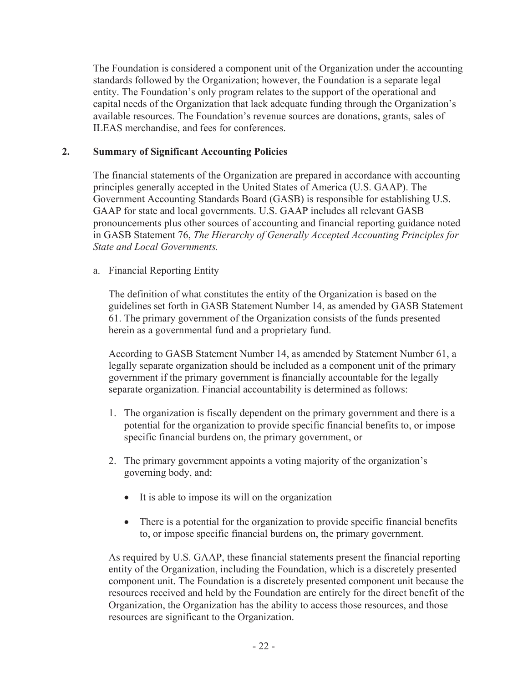The Foundation is considered a component unit of the Organization under the accounting standards followed by the Organization; however, the Foundation is a separate legal entity. The Foundation's only program relates to the support of the operational and capital needs of the Organization that lack adequate funding through the Organization's available resources. The Foundation's revenue sources are donations, grants, sales of ILEAS merchandise, and fees for conferences.

# **2. Summary of Significant Accounting Policies**

The financial statements of the Organization are prepared in accordance with accounting principles generally accepted in the United States of America (U.S. GAAP). The Government Accounting Standards Board (GASB) is responsible for establishing U.S. GAAP for state and local governments. U.S. GAAP includes all relevant GASB pronouncements plus other sources of accounting and financial reporting guidance noted in GASB Statement 76, *The Hierarchy of Generally Accepted Accounting Principles for State and Local Governments.* 

### a. Financial Reporting Entity

The definition of what constitutes the entity of the Organization is based on the guidelines set forth in GASB Statement Number 14, as amended by GASB Statement 61. The primary government of the Organization consists of the funds presented herein as a governmental fund and a proprietary fund.

According to GASB Statement Number 14, as amended by Statement Number 61, a legally separate organization should be included as a component unit of the primary government if the primary government is financially accountable for the legally separate organization. Financial accountability is determined as follows:

- 1. The organization is fiscally dependent on the primary government and there is a potential for the organization to provide specific financial benefits to, or impose specific financial burdens on, the primary government, or
- 2. The primary government appoints a voting majority of the organization's governing body, and:
	- $\bullet$  It is able to impose its will on the organization
	- There is a potential for the organization to provide specific financial benefits to, or impose specific financial burdens on, the primary government.

As required by U.S. GAAP, these financial statements present the financial reporting entity of the Organization, including the Foundation, which is a discretely presented component unit. The Foundation is a discretely presented component unit because the resources received and held by the Foundation are entirely for the direct benefit of the Organization, the Organization has the ability to access those resources, and those resources are significant to the Organization.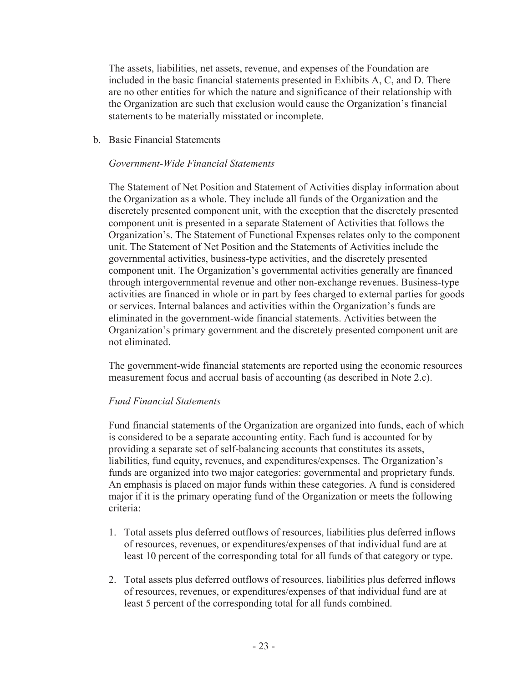The assets, liabilities, net assets, revenue, and expenses of the Foundation are included in the basic financial statements presented in Exhibits A, C, and D. There are no other entities for which the nature and significance of their relationship with the Organization are such that exclusion would cause the Organization's financial statements to be materially misstated or incomplete.

b. Basic Financial Statements

#### *Government-Wide Financial Statements*

The Statement of Net Position and Statement of Activities display information about the Organization as a whole. They include all funds of the Organization and the discretely presented component unit, with the exception that the discretely presented component unit is presented in a separate Statement of Activities that follows the Organization's. The Statement of Functional Expenses relates only to the component unit. The Statement of Net Position and the Statements of Activities include the governmental activities, business-type activities, and the discretely presented component unit. The Organization's governmental activities generally are financed through intergovernmental revenue and other non-exchange revenues. Business-type activities are financed in whole or in part by fees charged to external parties for goods or services. Internal balances and activities within the Organization's funds are eliminated in the government-wide financial statements. Activities between the Organization's primary government and the discretely presented component unit are not eliminated.

The government-wide financial statements are reported using the economic resources measurement focus and accrual basis of accounting (as described in Note 2.c).

#### *Fund Financial Statements*

Fund financial statements of the Organization are organized into funds, each of which is considered to be a separate accounting entity. Each fund is accounted for by providing a separate set of self-balancing accounts that constitutes its assets, liabilities, fund equity, revenues, and expenditures/expenses. The Organization's funds are organized into two major categories: governmental and proprietary funds. An emphasis is placed on major funds within these categories. A fund is considered major if it is the primary operating fund of the Organization or meets the following criteria:

- 1. Total assets plus deferred outflows of resources, liabilities plus deferred inflows of resources, revenues, or expenditures/expenses of that individual fund are at least 10 percent of the corresponding total for all funds of that category or type.
- 2. Total assets plus deferred outflows of resources, liabilities plus deferred inflows of resources, revenues, or expenditures/expenses of that individual fund are at least 5 percent of the corresponding total for all funds combined.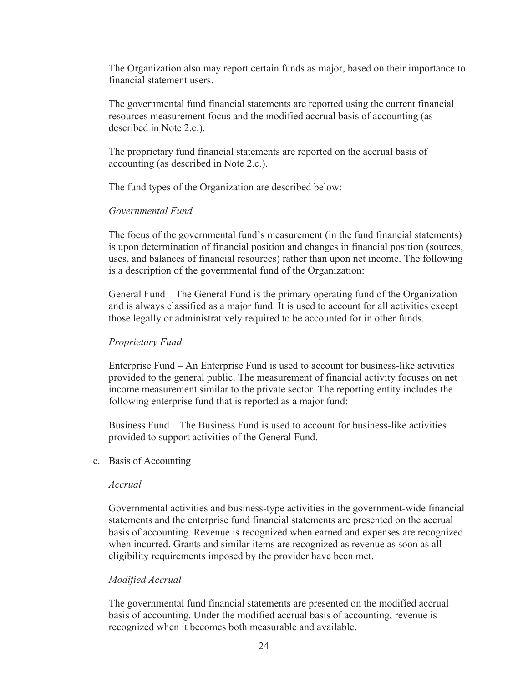The Organization also may report certain funds as major, based on their importance to financial statement users.

The governmental fund financial statements are reported using the current financial resources measurement focus and the modified accrual basis of accounting (as described in Note 2.c.).

The proprietary fund financial statements are reported on the accrual basis of accounting (as described in Note 2.c.).

The fund types of the Organization are described below:

# *Governmental Fund*

The focus of the governmental fund's measurement (in the fund financial statements) is upon determination of financial position and changes in financial position (sources, uses, and balances of financial resources) rather than upon net income. The following is a description of the governmental fund of the Organization:

General Fund – The General Fund is the primary operating fund of the Organization and is always classified as a major fund. It is used to account for all activities except those legally or administratively required to be accounted for in other funds.

#### *Proprietary Fund*

Enterprise Fund – An Enterprise Fund is used to account for business-like activities provided to the general public. The measurement of financial activity focuses on net income measurement similar to the private sector. The reporting entity includes the following enterprise fund that is reported as a major fund:

Business Fund – The Business Fund is used to account for business-like activities provided to support activities of the General Fund.

c. Basis of Accounting

#### *Accrual*

Governmental activities and business-type activities in the government-wide financial statements and the enterprise fund financial statements are presented on the accrual basis of accounting. Revenue is recognized when earned and expenses are recognized when incurred. Grants and similar items are recognized as revenue as soon as all eligibility requirements imposed by the provider have been met.

#### *Modified Accrual*

The governmental fund financial statements are presented on the modified accrual basis of accounting. Under the modified accrual basis of accounting, revenue is recognized when it becomes both measurable and available.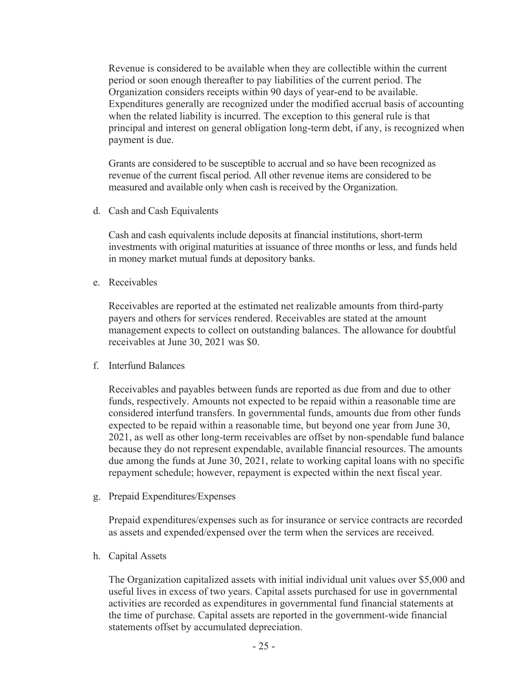Revenue is considered to be available when they are collectible within the current period or soon enough thereafter to pay liabilities of the current period. The Organization considers receipts within 90 days of year-end to be available. Expenditures generally are recognized under the modified accrual basis of accounting when the related liability is incurred. The exception to this general rule is that principal and interest on general obligation long-term debt, if any, is recognized when payment is due.

 Grants are considered to be susceptible to accrual and so have been recognized as revenue of the current fiscal period. All other revenue items are considered to be measured and available only when cash is received by the Organization.

d. Cash and Cash Equivalents

 Cash and cash equivalents include deposits at financial institutions, short-term investments with original maturities at issuance of three months or less, and funds held in money market mutual funds at depository banks.

e. Receivables

 Receivables are reported at the estimated net realizable amounts from third-party payers and others for services rendered. Receivables are stated at the amount management expects to collect on outstanding balances. The allowance for doubtful receivables at June 30, 2021 was \$0.

f. Interfund Balances

Receivables and payables between funds are reported as due from and due to other funds, respectively. Amounts not expected to be repaid within a reasonable time are considered interfund transfers. In governmental funds, amounts due from other funds expected to be repaid within a reasonable time, but beyond one year from June 30, 2021, as well as other long-term receivables are offset by non-spendable fund balance because they do not represent expendable, available financial resources. The amounts due among the funds at June 30, 2021, relate to working capital loans with no specific repayment schedule; however, repayment is expected within the next fiscal year.

g. Prepaid Expenditures/Expenses

Prepaid expenditures/expenses such as for insurance or service contracts are recorded as assets and expended/expensed over the term when the services are received.

h. Capital Assets

The Organization capitalized assets with initial individual unit values over \$5,000 and useful lives in excess of two years. Capital assets purchased for use in governmental activities are recorded as expenditures in governmental fund financial statements at the time of purchase. Capital assets are reported in the government-wide financial statements offset by accumulated depreciation.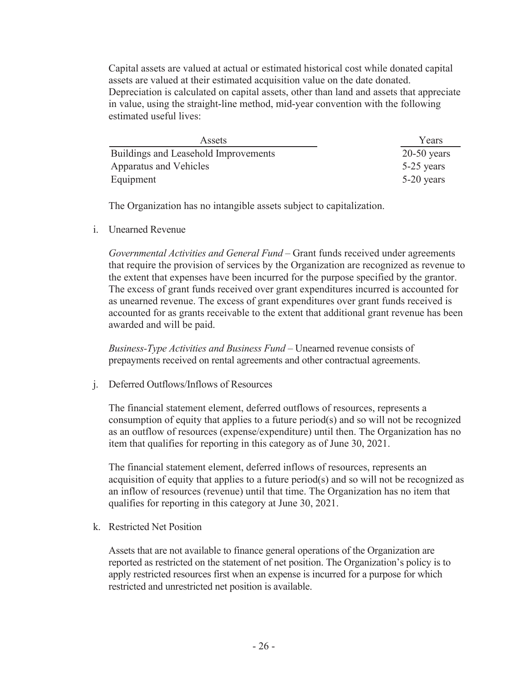Capital assets are valued at actual or estimated historical cost while donated capital assets are valued at their estimated acquisition value on the date donated. Depreciation is calculated on capital assets, other than land and assets that appreciate in value, using the straight-line method, mid-year convention with the following estimated useful lives:

| <b>Assets</b>                        | Years         |
|--------------------------------------|---------------|
| Buildings and Leasehold Improvements | $20-50$ years |
| Apparatus and Vehicles               | $5-25$ years  |
| Equipment                            | $5-20$ years  |

The Organization has no intangible assets subject to capitalization.

i. Unearned Revenue

*Governmental Activities and General Fund* – Grant funds received under agreements that require the provision of services by the Organization are recognized as revenue to the extent that expenses have been incurred for the purpose specified by the grantor. The excess of grant funds received over grant expenditures incurred is accounted for as unearned revenue. The excess of grant expenditures over grant funds received is accounted for as grants receivable to the extent that additional grant revenue has been awarded and will be paid.

*Business-Type Activities and Business Fund* – Unearned revenue consists of prepayments received on rental agreements and other contractual agreements.

j. Deferred Outflows/Inflows of Resources

The financial statement element, deferred outflows of resources, represents a consumption of equity that applies to a future period(s) and so will not be recognized as an outflow of resources (expense/expenditure) until then. The Organization has no item that qualifies for reporting in this category as of June 30, 2021.

The financial statement element, deferred inflows of resources, represents an acquisition of equity that applies to a future period(s) and so will not be recognized as an inflow of resources (revenue) until that time. The Organization has no item that qualifies for reporting in this category at June 30, 2021.

k. Restricted Net Position

Assets that are not available to finance general operations of the Organization are reported as restricted on the statement of net position. The Organization's policy is to apply restricted resources first when an expense is incurred for a purpose for which restricted and unrestricted net position is available.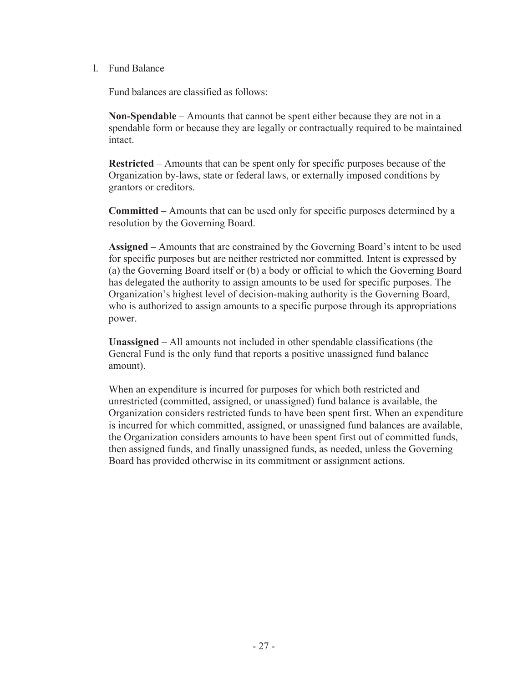#### l. Fund Balance

Fund balances are classified as follows:

**Non-Spendable** – Amounts that cannot be spent either because they are not in a spendable form or because they are legally or contractually required to be maintained intact.

**Restricted** – Amounts that can be spent only for specific purposes because of the Organization by-laws, state or federal laws, or externally imposed conditions by grantors or creditors.

**Committed** – Amounts that can be used only for specific purposes determined by a resolution by the Governing Board.

**Assigned** – Amounts that are constrained by the Governing Board's intent to be used for specific purposes but are neither restricted nor committed. Intent is expressed by (a) the Governing Board itself or (b) a body or official to which the Governing Board has delegated the authority to assign amounts to be used for specific purposes. The Organization's highest level of decision-making authority is the Governing Board, who is authorized to assign amounts to a specific purpose through its appropriations power.

**Unassigned** – All amounts not included in other spendable classifications (the General Fund is the only fund that reports a positive unassigned fund balance amount).

When an expenditure is incurred for purposes for which both restricted and unrestricted (committed, assigned, or unassigned) fund balance is available, the Organization considers restricted funds to have been spent first. When an expenditure is incurred for which committed, assigned, or unassigned fund balances are available, the Organization considers amounts to have been spent first out of committed funds, then assigned funds, and finally unassigned funds, as needed, unless the Governing Board has provided otherwise in its commitment or assignment actions.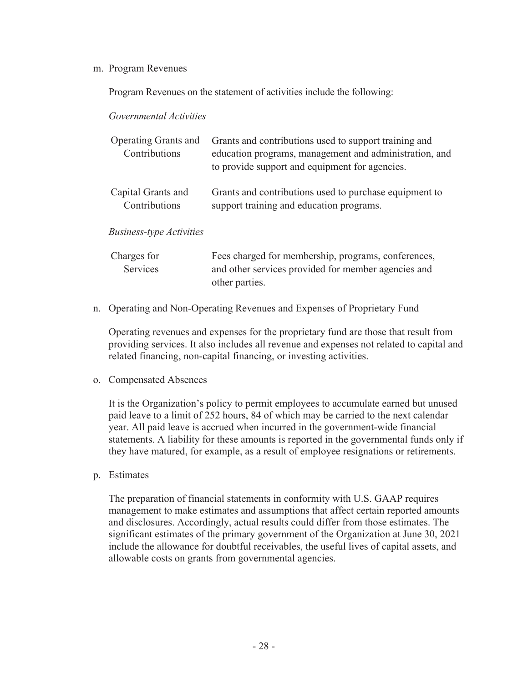#### m. Program Revenues

Program Revenues on the statement of activities include the following:

*Governmental Activities*

| <b>Operating Grants and</b><br>Contributions | Grants and contributions used to support training and<br>education programs, management and administration, and<br>to provide support and equipment for agencies. |
|----------------------------------------------|-------------------------------------------------------------------------------------------------------------------------------------------------------------------|
| Capital Grants and                           | Grants and contributions used to purchase equipment to                                                                                                            |
| Contributions                                | support training and education programs.                                                                                                                          |

*Business-type Activities* 

| Charges for | Fees charged for membership, programs, conferences, |
|-------------|-----------------------------------------------------|
| Services    | and other services provided for member agencies and |
|             | other parties.                                      |

n. Operating and Non-Operating Revenues and Expenses of Proprietary Fund

Operating revenues and expenses for the proprietary fund are those that result from providing services. It also includes all revenue and expenses not related to capital and related financing, non-capital financing, or investing activities.

#### o. Compensated Absences

It is the Organization's policy to permit employees to accumulate earned but unused paid leave to a limit of 252 hours, 84 of which may be carried to the next calendar year. All paid leave is accrued when incurred in the government-wide financial statements. A liability for these amounts is reported in the governmental funds only if they have matured, for example, as a result of employee resignations or retirements.

p. Estimates

The preparation of financial statements in conformity with U.S. GAAP requires management to make estimates and assumptions that affect certain reported amounts and disclosures. Accordingly, actual results could differ from those estimates. The significant estimates of the primary government of the Organization at June 30, 2021 include the allowance for doubtful receivables, the useful lives of capital assets, and allowable costs on grants from governmental agencies.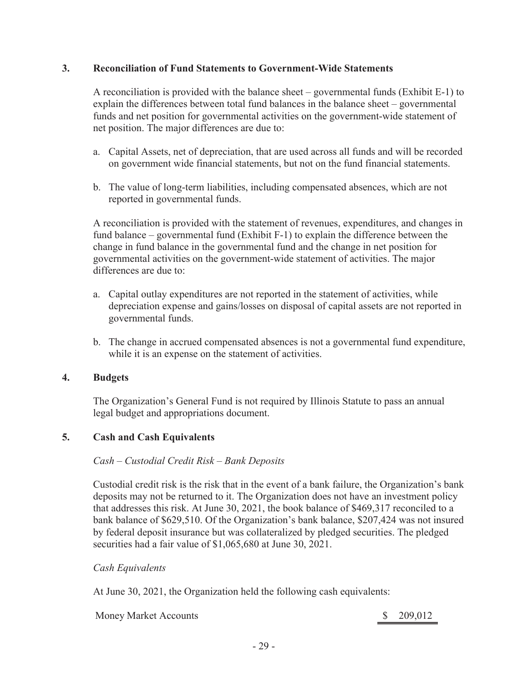# **3. Reconciliation of Fund Statements to Government-Wide Statements**

A reconciliation is provided with the balance sheet – governmental funds (Exhibit E-1) to explain the differences between total fund balances in the balance sheet – governmental funds and net position for governmental activities on the government-wide statement of net position. The major differences are due to:

- a. Capital Assets, net of depreciation, that are used across all funds and will be recorded on government wide financial statements, but not on the fund financial statements.
- b. The value of long-term liabilities, including compensated absences, which are not reported in governmental funds.

A reconciliation is provided with the statement of revenues, expenditures, and changes in fund balance – governmental fund (Exhibit F-1) to explain the difference between the change in fund balance in the governmental fund and the change in net position for governmental activities on the government-wide statement of activities. The major differences are due to:

- a. Capital outlay expenditures are not reported in the statement of activities, while depreciation expense and gains/losses on disposal of capital assets are not reported in governmental funds.
- b. The change in accrued compensated absences is not a governmental fund expenditure, while it is an expense on the statement of activities.

#### **4. Budgets**

The Organization's General Fund is not required by Illinois Statute to pass an annual legal budget and appropriations document.

#### **5. Cash and Cash Equivalents**

#### *Cash – Custodial Credit Risk – Bank Deposits*

Custodial credit risk is the risk that in the event of a bank failure, the Organization's bank deposits may not be returned to it. The Organization does not have an investment policy that addresses this risk. At June 30, 2021, the book balance of \$469,317 reconciled to a bank balance of \$629,510. Of the Organization's bank balance, \$207,424 was not insured by federal deposit insurance but was collateralized by pledged securities. The pledged securities had a fair value of \$1,065,680 at June 30, 2021.

#### *Cash Equivalents*

At June 30, 2021, the Organization held the following cash equivalents:

Money Market Accounts 209,012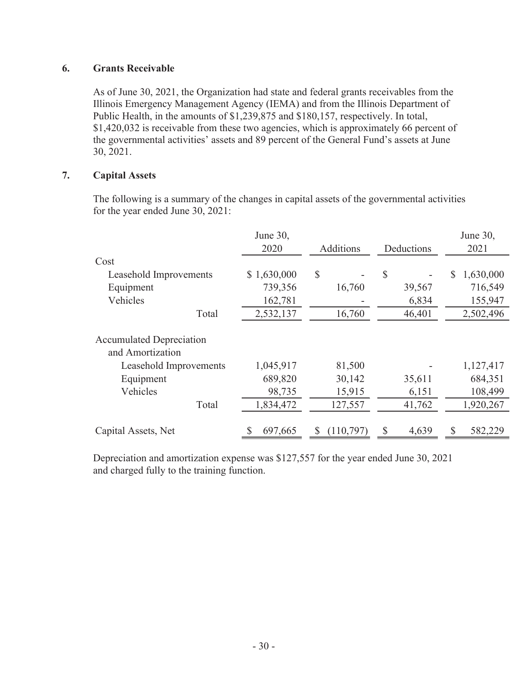# **6. Grants Receivable**

As of June 30, 2021, the Organization had state and federal grants receivables from the Illinois Emergency Management Agency (IEMA) and from the Illinois Department of Public Health, in the amounts of \$1,239,875 and \$180,157, respectively. In total, \$1,420,032 is receivable from these two agencies, which is approximately 66 percent of the governmental activities' assets and 89 percent of the General Fund's assets at June 30, 2021.

### **7. Capital Assets**

The following is a summary of the changes in capital assets of the governmental activities for the year ended June 30, 2021:

|                                                     | June 30,    |                 |                           | June 30,        |
|-----------------------------------------------------|-------------|-----------------|---------------------------|-----------------|
|                                                     | 2020        | Additions       | Deductions                | 2021            |
| Cost                                                |             |                 |                           |                 |
| Leasehold Improvements                              | \$1,630,000 | \$              | $\boldsymbol{\mathsf{S}}$ | \$<br>1,630,000 |
| Equipment                                           | 739,356     | 16,760          | 39,567                    | 716,549         |
| Vehicles                                            | 162,781     |                 | 6,834                     | 155,947         |
| Total                                               | 2,532,137   | 16,760          | 46,401                    | 2,502,496       |
| <b>Accumulated Depreciation</b><br>and Amortization |             |                 |                           |                 |
| Leasehold Improvements                              | 1,045,917   | 81,500          |                           | 1,127,417       |
| Equipment                                           | 689,820     | 30,142          | 35,611                    | 684,351         |
| Vehicles                                            | 98,735      | 15,915          | 6,151                     | 108,499         |
| Total                                               | 1,834,472   | 127,557         | 41,762                    | 1,920,267       |
| Capital Assets, Net                                 | 697,665     | (110,797)<br>\$ | $\mathbb{S}$<br>4,639     | \$<br>582,229   |

Depreciation and amortization expense was \$127,557 for the year ended June 30, 2021 and charged fully to the training function.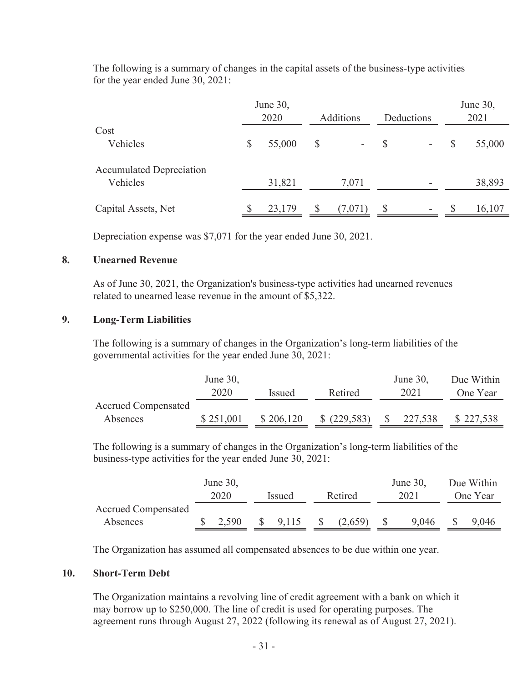|                                             |    | June $30$ ,<br>2020 |               | Additions | Deductions    |   | June 30,<br>2021 |        |
|---------------------------------------------|----|---------------------|---------------|-----------|---------------|---|------------------|--------|
| Cost<br>Vehicles                            | \$ | 55,000              | \$            | -         | $\mathcal{S}$ | ۰ |                  | 55,000 |
| <b>Accumulated Depreciation</b><br>Vehicles |    | 31,821              |               | 7,071     |               |   |                  | 38,893 |
| Capital Assets, Net                         |    | 23,179              | $\mathcal{S}$ | (7,071)   | \$            | - | <b>S</b>         | 16,107 |

The following is a summary of changes in the capital assets of the business-type activities for the year ended June 30, 2021:

Depreciation expense was \$7,071 for the year ended June 30, 2021.

#### **8. Unearned Revenue**

As of June 30, 2021, the Organization's business-type activities had unearned revenues related to unearned lease revenue in the amount of \$5,322.

#### **9. Long-Term Liabilities**

The following is a summary of changes in the Organization's long-term liabilities of the governmental activities for the year ended June 30, 2021:

|                            | June $30$ , |              |              | June $30$ , | Due Within |
|----------------------------|-------------|--------------|--------------|-------------|------------|
|                            | 2020        | <i>ssued</i> | Retired      | 2021        | One Year   |
| <b>Accrued Compensated</b> |             |              |              |             |            |
| Absences                   | \$251,001   | \$206,120    | \$ (229,583) | 227,538     | \$227,538  |

The following is a summary of changes in the Organization's long-term liabilities of the business-type activities for the year ended June 30, 2021:

|       |                     |       |              |         |                  |       |             | Due Within |
|-------|---------------------|-------|--------------|---------|------------------|-------|-------------|------------|
|       |                     |       |              |         | 202 <sub>1</sub> |       | One Year    |            |
|       |                     |       |              |         |                  |       |             |            |
| 2,590 |                     | 9,115 |              | (2,659) |                  | 9,046 |             | 9,046      |
|       | June $30$ ,<br>2020 |       | <i>ssued</i> |         | Retired          |       | June $30$ , |            |

The Organization has assumed all compensated absences to be due within one year.

#### **10. Short-Term Debt**

The Organization maintains a revolving line of credit agreement with a bank on which it may borrow up to \$250,000. The line of credit is used for operating purposes. The agreement runs through August 27, 2022 (following its renewal as of August 27, 2021).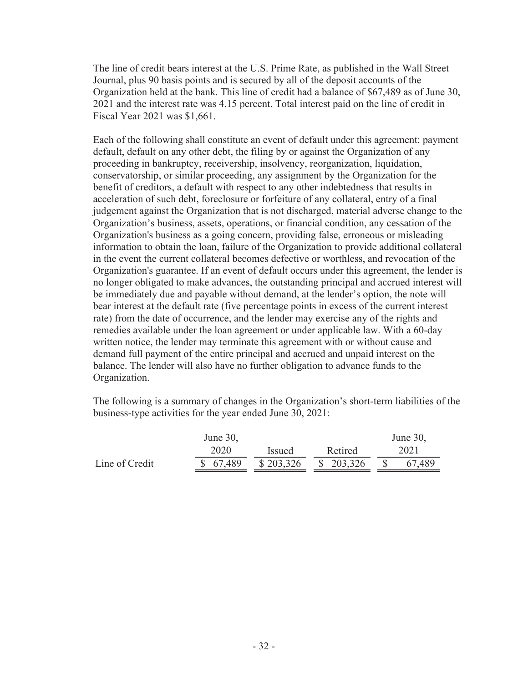The line of credit bears interest at the U.S. Prime Rate, as published in the Wall Street Journal, plus 90 basis points and is secured by all of the deposit accounts of the Organization held at the bank. This line of credit had a balance of \$67,489 as of June 30, 2021 and the interest rate was 4.15 percent. Total interest paid on the line of credit in Fiscal Year 2021 was \$1,661.

Each of the following shall constitute an event of default under this agreement: payment default, default on any other debt, the filing by or against the Organization of any proceeding in bankruptcy, receivership, insolvency, reorganization, liquidation, conservatorship, or similar proceeding, any assignment by the Organization for the benefit of creditors, a default with respect to any other indebtedness that results in acceleration of such debt, foreclosure or forfeiture of any collateral, entry of a final judgement against the Organization that is not discharged, material adverse change to the Organization's business, assets, operations, or financial condition, any cessation of the Organization's business as a going concern, providing false, erroneous or misleading information to obtain the loan, failure of the Organization to provide additional collateral in the event the current collateral becomes defective or worthless, and revocation of the Organization's guarantee. If an event of default occurs under this agreement, the lender is no longer obligated to make advances, the outstanding principal and accrued interest will be immediately due and payable without demand, at the lender's option, the note will bear interest at the default rate (five percentage points in excess of the current interest rate) from the date of occurrence, and the lender may exercise any of the rights and remedies available under the loan agreement or under applicable law. With a 60-day written notice, the lender may terminate this agreement with or without cause and demand full payment of the entire principal and accrued and unpaid interest on the balance. The lender will also have no further obligation to advance funds to the Organization.

The following is a summary of changes in the Organization's short-term liabilities of the business-type activities for the year ended June 30, 2021:

|                | June $30$ , |              | June $30$ , |        |
|----------------|-------------|--------------|-------------|--------|
|                | 2020        | <i>ssued</i> | Retired     | 2021   |
| Line of Credit | \$67,489    | \$203,326    | \$203,326   | 67,489 |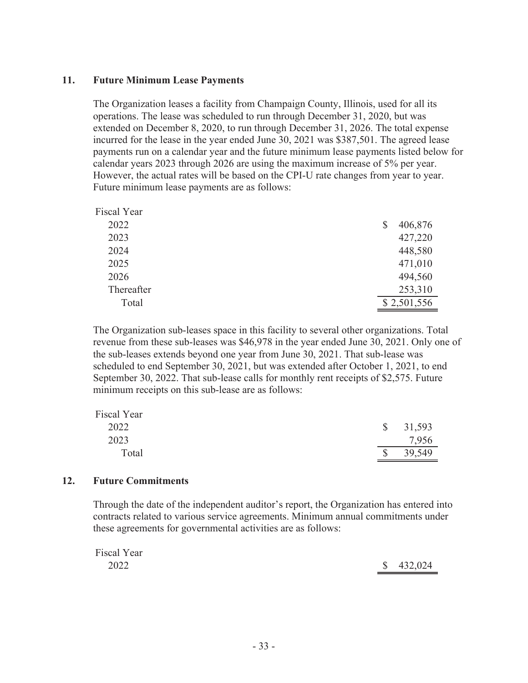### **11. Future Minimum Lease Payments**

The Organization leases a facility from Champaign County, Illinois, used for all its operations. The lease was scheduled to run through December 31, 2020, but was extended on December 8, 2020, to run through December 31, 2026. The total expense incurred for the lease in the year ended June 30, 2021 was \$387,501. The agreed lease payments run on a calendar year and the future minimum lease payments listed below for calendar years 2023 through 2026 are using the maximum increase of 5% per year. However, the actual rates will be based on the CPI-U rate changes from year to year. Future minimum lease payments are as follows:

| Fiscal Year |               |
|-------------|---------------|
| 2022        | 406,876<br>\$ |
| 2023        | 427,220       |
| 2024        | 448,580       |
| 2025        | 471,010       |
| 2026        | 494,560       |
| Thereafter  | 253,310       |
| Total       | \$2,501,556   |
|             |               |

The Organization sub-leases space in this facility to several other organizations. Total revenue from these sub-leases was \$46,978 in the year ended June 30, 2021. Only one of the sub-leases extends beyond one year from June 30, 2021. That sub-lease was scheduled to end September 30, 2021, but was extended after October 1, 2021, to end September 30, 2022. That sub-lease calls for monthly rent receipts of \$2,575. Future minimum receipts on this sub-lease are as follows:

| Fiscal Year |                |        |
|-------------|----------------|--------|
| 2022        | $\mathbb{S}^-$ | 31,593 |
| 2023        |                | 7,956  |
| Total       |                | 39,549 |

#### **12. Future Commitments**

Through the date of the independent auditor's report, the Organization has entered into contracts related to various service agreements. Minimum annual commitments under these agreements for governmental activities are as follows:

| Fiscal Year |           |
|-------------|-----------|
| 2022        | \$432,024 |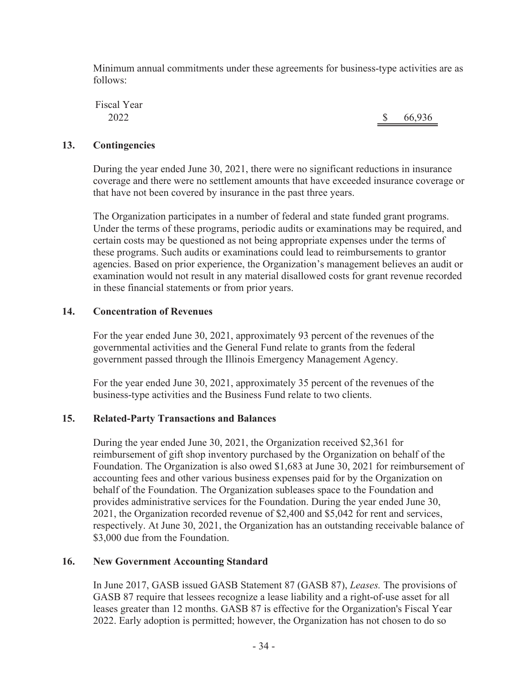Minimum annual commitments under these agreements for business-type activities are as follows:

Fiscal Year

2022 \$66,936

### **13. Contingencies**

During the year ended June 30, 2021, there were no significant reductions in insurance coverage and there were no settlement amounts that have exceeded insurance coverage or that have not been covered by insurance in the past three years.

The Organization participates in a number of federal and state funded grant programs. Under the terms of these programs, periodic audits or examinations may be required, and certain costs may be questioned as not being appropriate expenses under the terms of these programs. Such audits or examinations could lead to reimbursements to grantor agencies. Based on prior experience, the Organization's management believes an audit or examination would not result in any material disallowed costs for grant revenue recorded in these financial statements or from prior years.

### **14. Concentration of Revenues**

For the year ended June 30, 2021, approximately 93 percent of the revenues of the governmental activities and the General Fund relate to grants from the federal government passed through the Illinois Emergency Management Agency.

For the year ended June 30, 2021, approximately 35 percent of the revenues of the business-type activities and the Business Fund relate to two clients.

#### **15. Related-Party Transactions and Balances**

During the year ended June 30, 2021, the Organization received \$2,361 for reimbursement of gift shop inventory purchased by the Organization on behalf of the Foundation. The Organization is also owed \$1,683 at June 30, 2021 for reimbursement of accounting fees and other various business expenses paid for by the Organization on behalf of the Foundation. The Organization subleases space to the Foundation and provides administrative services for the Foundation. During the year ended June 30, 2021, the Organization recorded revenue of \$2,400 and \$5,042 for rent and services, respectively. At June 30, 2021, the Organization has an outstanding receivable balance of \$3,000 due from the Foundation.

#### **16. New Government Accounting Standard**

In June 2017, GASB issued GASB Statement 87 (GASB 87), *Leases.* The provisions of GASB 87 require that lessees recognize a lease liability and a right-of-use asset for all leases greater than 12 months. GASB 87 is effective for the Organization's Fiscal Year 2022. Early adoption is permitted; however, the Organization has not chosen to do so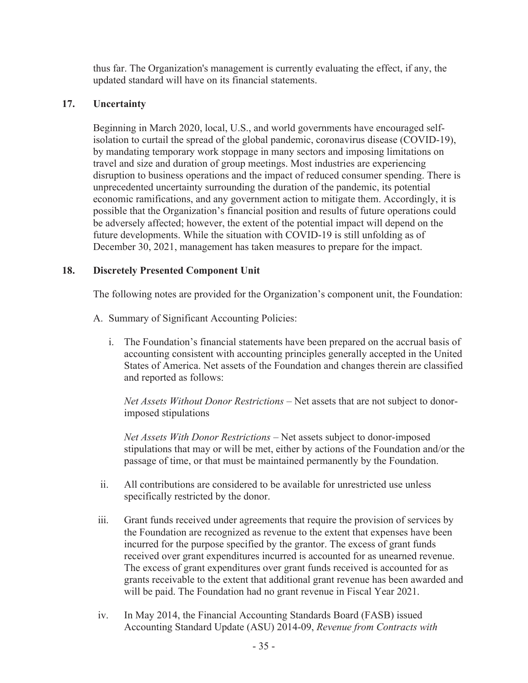thus far. The Organization's management is currently evaluating the effect, if any, the updated standard will have on its financial statements.

# **17. Uncertainty**

Beginning in March 2020, local, U.S., and world governments have encouraged selfisolation to curtail the spread of the global pandemic, coronavirus disease (COVID-19), by mandating temporary work stoppage in many sectors and imposing limitations on travel and size and duration of group meetings. Most industries are experiencing disruption to business operations and the impact of reduced consumer spending. There is unprecedented uncertainty surrounding the duration of the pandemic, its potential economic ramifications, and any government action to mitigate them. Accordingly, it is possible that the Organization's financial position and results of future operations could be adversely affected; however, the extent of the potential impact will depend on the future developments. While the situation with COVID-19 is still unfolding as of December 30, 2021, management has taken measures to prepare for the impact.

# **18. Discretely Presented Component Unit**

The following notes are provided for the Organization's component unit, the Foundation:

- A. Summary of Significant Accounting Policies:
	- i. The Foundation's financial statements have been prepared on the accrual basis of accounting consistent with accounting principles generally accepted in the United States of America. Net assets of the Foundation and changes therein are classified and reported as follows:

*Net Assets Without Donor Restrictions* – Net assets that are not subject to donorimposed stipulations

*Net Assets With Donor Restrictions* – Net assets subject to donor-imposed stipulations that may or will be met, either by actions of the Foundation and/or the passage of time, or that must be maintained permanently by the Foundation.

- ii. All contributions are considered to be available for unrestricted use unless specifically restricted by the donor.
- iii. Grant funds received under agreements that require the provision of services by the Foundation are recognized as revenue to the extent that expenses have been incurred for the purpose specified by the grantor. The excess of grant funds received over grant expenditures incurred is accounted for as unearned revenue. The excess of grant expenditures over grant funds received is accounted for as grants receivable to the extent that additional grant revenue has been awarded and will be paid. The Foundation had no grant revenue in Fiscal Year 2021.
- iv. In May 2014, the Financial Accounting Standards Board (FASB) issued Accounting Standard Update (ASU) 2014-09, *Revenue from Contracts with*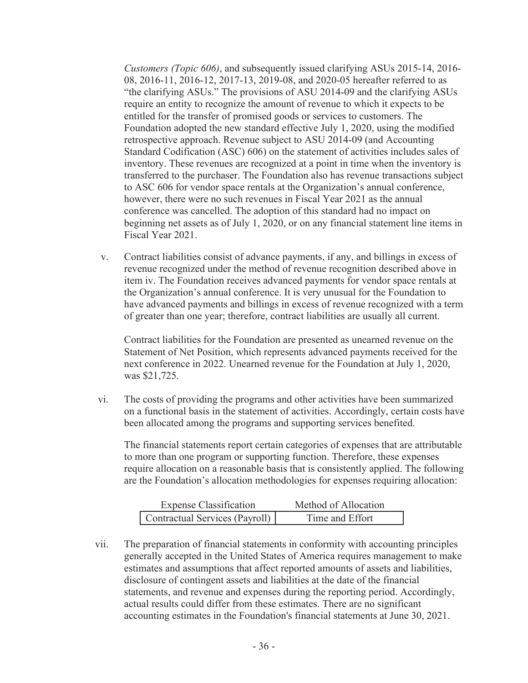*Customers (Topic 606)*, and subsequently issued clarifying ASUs 2015-14, 2016- 08, 2016-11, 2016-12, 2017-13, 2019-08, and 2020-05 hereafter referred to as "the clarifying ASUs." The provisions of ASU 2014-09 and the clarifying ASUs require an entity to recognize the amount of revenue to which it expects to be entitled for the transfer of promised goods or services to customers. The Foundation adopted the new standard effective July 1, 2020, using the modified retrospective approach. Revenue subject to ASU 2014-09 (and Accounting Standard Codification (ASC) 606) on the statement of activities includes sales of inventory. These revenues are recognized at a point in time when the inventory is transferred to the purchaser. The Foundation also has revenue transactions subject to ASC 606 for vendor space rentals at the Organization's annual conference, however, there were no such revenues in Fiscal Year 2021 as the annual conference was cancelled. The adoption of this standard had no impact on beginning net assets as of July 1, 2020, or on any financial statement line items in Fiscal Year 2021.

v. Contract liabilities consist of advance payments, if any, and billings in excess of revenue recognized under the method of revenue recognition described above in item iv. The Foundation receives advanced payments for vendor space rentals at the Organization's annual conference. It is very unusual for the Foundation to have advanced payments and billings in excess of revenue recognized with a term of greater than one year; therefore, contract liabilities are usually all current.

Contract liabilities for the Foundation are presented as unearned revenue on the Statement of Net Position, which represents advanced payments received for the next conference in 2022. Unearned revenue for the Foundation at July 1, 2020, was \$21,725.

vi. The costs of providing the programs and other activities have been summarized on a functional basis in the statement of activities. Accordingly, certain costs have been allocated among the programs and supporting services benefited.

The financial statements report certain categories of expenses that are attributable to more than one program or supporting function. Therefore, these expenses require allocation on a reasonable basis that is consistently applied. The following are the Foundation's allocation methodologies for expenses requiring allocation:

| <b>Expense Classification</b>  | Method of Allocation |
|--------------------------------|----------------------|
| Contractual Services (Payroll) | Time and Effort      |

vii. The preparation of financial statements in conformity with accounting principles generally accepted in the United States of America requires management to make estimates and assumptions that affect reported amounts of assets and liabilities, disclosure of contingent assets and liabilities at the date of the financial statements, and revenue and expenses during the reporting period. Accordingly, actual results could differ from these estimates. There are no significant accounting estimates in the Foundation's financial statements at June 30, 2021.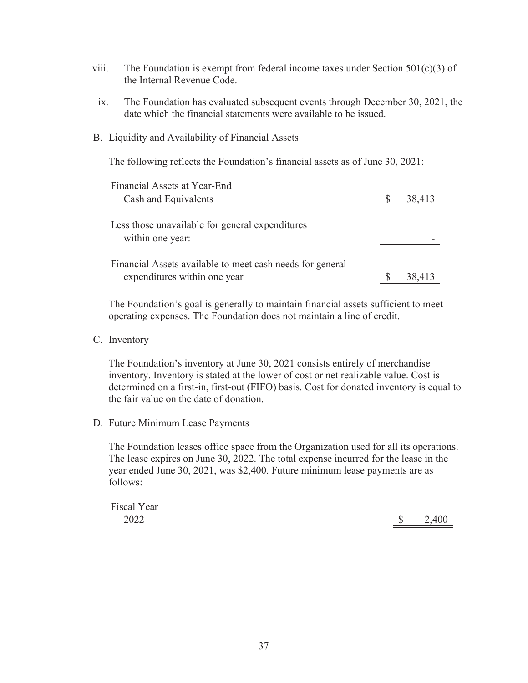| viii.<br>the Internal Revenue Code. |                                                                                                                                                                                                                                   |                                                                  |                                                                                                                                                                                                                                                             |  |  |
|-------------------------------------|-----------------------------------------------------------------------------------------------------------------------------------------------------------------------------------------------------------------------------------|------------------------------------------------------------------|-------------------------------------------------------------------------------------------------------------------------------------------------------------------------------------------------------------------------------------------------------------|--|--|
|                                     |                                                                                                                                                                                                                                   |                                                                  |                                                                                                                                                                                                                                                             |  |  |
|                                     |                                                                                                                                                                                                                                   |                                                                  |                                                                                                                                                                                                                                                             |  |  |
|                                     |                                                                                                                                                                                                                                   |                                                                  |                                                                                                                                                                                                                                                             |  |  |
| Cash and Equivalents                | \$                                                                                                                                                                                                                                | 38,413                                                           |                                                                                                                                                                                                                                                             |  |  |
| within one year:                    |                                                                                                                                                                                                                                   |                                                                  |                                                                                                                                                                                                                                                             |  |  |
|                                     |                                                                                                                                                                                                                                   |                                                                  |                                                                                                                                                                                                                                                             |  |  |
|                                     | B. Liquidity and Availability of Financial Assets<br>Financial Assets at Year-End<br>Less those unavailable for general expenditures<br>Financial Assets available to meet cash needs for general<br>expenditures within one year | date which the financial statements were available to be issued. | The Foundation is exempt from federal income taxes under Section $501(c)(3)$ of<br>The Foundation has evaluated subsequent events through December 30, 2021, the<br>The following reflects the Foundation's financial assets as of June 30, 2021:<br>38,413 |  |  |

The Foundation's goal is generally to maintain financial assets sufficient to meet operating expenses. The Foundation does not maintain a line of credit.

C. Inventory

The Foundation's inventory at June 30, 2021 consists entirely of merchandise inventory. Inventory is stated at the lower of cost or net realizable value. Cost is determined on a first-in, first-out (FIFO) basis. Cost for donated inventory is equal to the fair value on the date of donation.

D. Future Minimum Lease Payments

The Foundation leases office space from the Organization used for all its operations. The lease expires on June 30, 2022. The total expense incurred for the lease in the year ended June 30, 2021, was \$2,400. Future minimum lease payments are as follows:

Fiscal Year

2022 \$2,400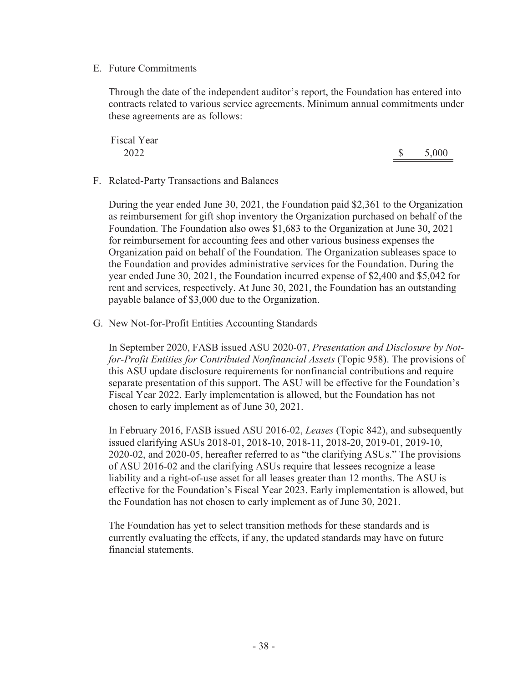E. Future Commitments

Through the date of the independent auditor's report, the Foundation has entered into contracts related to various service agreements. Minimum annual commitments under these agreements are as follows:

Fiscal Year

2022 \$ 5,000

#### F. Related-Party Transactions and Balances

During the year ended June 30, 2021, the Foundation paid \$2,361 to the Organization as reimbursement for gift shop inventory the Organization purchased on behalf of the Foundation. The Foundation also owes \$1,683 to the Organization at June 30, 2021 for reimbursement for accounting fees and other various business expenses the Organization paid on behalf of the Foundation. The Organization subleases space to the Foundation and provides administrative services for the Foundation. During the year ended June 30, 2021, the Foundation incurred expense of \$2,400 and \$5,042 for rent and services, respectively. At June 30, 2021, the Foundation has an outstanding payable balance of \$3,000 due to the Organization.

G. New Not-for-Profit Entities Accounting Standards

In September 2020, FASB issued ASU 2020-07, *Presentation and Disclosure by Notfor-Profit Entities for Contributed Nonfinancial Assets* (Topic 958). The provisions of this ASU update disclosure requirements for nonfinancial contributions and require separate presentation of this support. The ASU will be effective for the Foundation's Fiscal Year 2022. Early implementation is allowed, but the Foundation has not chosen to early implement as of June 30, 2021.

In February 2016, FASB issued ASU 2016-02, *Leases* (Topic 842), and subsequently issued clarifying ASUs 2018-01, 2018-10, 2018-11, 2018-20, 2019-01, 2019-10, 2020-02, and 2020-05, hereafter referred to as "the clarifying ASUs." The provisions of ASU 2016-02 and the clarifying ASUs require that lessees recognize a lease liability and a right-of-use asset for all leases greater than 12 months. The ASU is effective for the Foundation's Fiscal Year 2023. Early implementation is allowed, but the Foundation has not chosen to early implement as of June 30, 2021.

The Foundation has yet to select transition methods for these standards and is currently evaluating the effects, if any, the updated standards may have on future financial statements.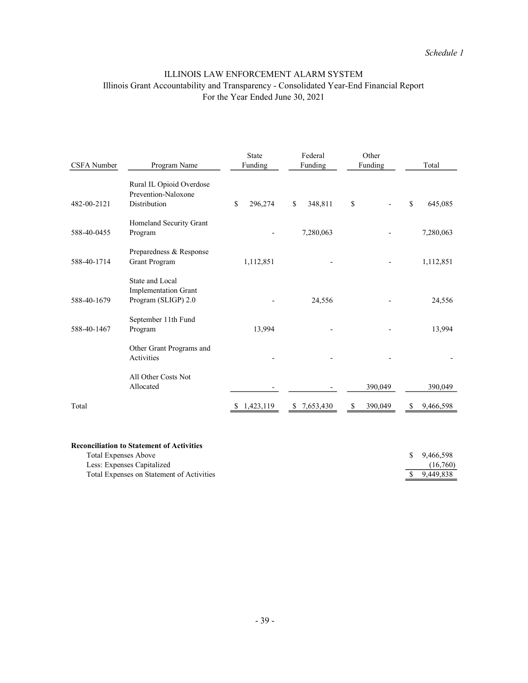#### ILLINOIS LAW ENFORCEMENT ALARM SYSTEM Illinois Grant Accountability and Transparency - Consolidated Year-End Financial Report For the Year Ended June 30, 2021

| CSFA Number | Program Name                                                    | <b>State</b><br>Funding | Federal<br>Funding | Other<br>Funding | Total          |
|-------------|-----------------------------------------------------------------|-------------------------|--------------------|------------------|----------------|
| 482-00-2121 | Rural IL Opioid Overdose<br>Prevention-Naloxone<br>Distribution | \$<br>296,274           | \$<br>348,811      | \$               | \$<br>645,085  |
| 588-40-0455 | Homeland Security Grant<br>Program                              |                         | 7,280,063          |                  | 7,280,063      |
| 588-40-1714 | Preparedness & Response<br><b>Grant Program</b>                 | 1,112,851               |                    |                  | 1,112,851      |
| 588-40-1679 | State and Local<br>Implementation Grant<br>Program (SLIGP) 2.0  |                         | 24,556             |                  | 24,556         |
| 588-40-1467 | September 11th Fund<br>Program                                  | 13,994                  |                    |                  | 13,994         |
|             | Other Grant Programs and<br>Activities                          |                         |                    |                  |                |
|             | All Other Costs Not<br>Allocated                                |                         |                    | 390,049          | 390,049        |
| Total       |                                                                 | 1,423,119<br>S.         | 7,653,430<br>-S    | 390,049<br>\$    | 9,466,598<br>S |
|             |                                                                 |                         |                    |                  |                |

| <b>Reconciliation to Statement of Activities</b> |    |           |
|--------------------------------------------------|----|-----------|
| Total Expenses Above                             | S. | 9.466.598 |
| Less: Expenses Capitalized                       |    | (16,760)  |
| Total Expenses on Statement of Activities        |    | 9.449.838 |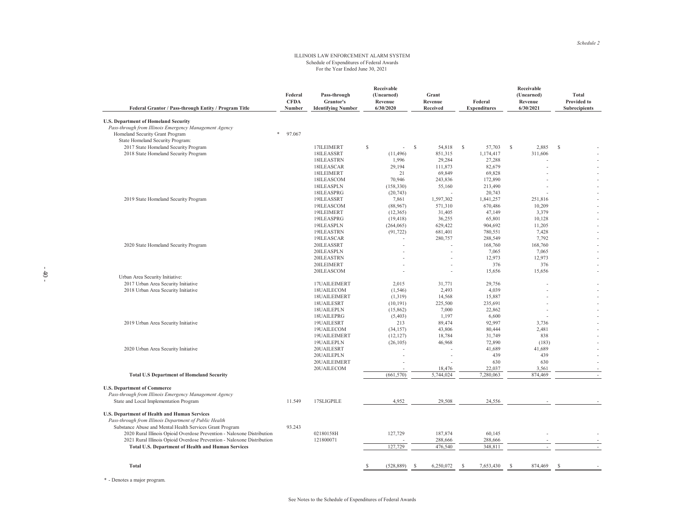#### Schedule of Expenditures of Federal Awards For the Year Ended June 30, 2021 ILLINOIS LAW ENFORCEMENT ALARM SYSTEM

| Federal Grantor / Pass-through Entity / Program Title                                                                                                                                                                                        | Federal<br><b>CFDA</b><br>Number | Pass-through<br>Grantor's<br><b>Identifying Number</b> | (Unearned)<br>Revenue<br>6/30/2020 |               | Grant<br>Revenue<br>Received | Federal<br><b>Expenditures</b> | Receivable<br>(Unearned)<br>Revenue<br>6/30/2021 | Total<br>Provided to<br><b>Subrecipients</b> |
|----------------------------------------------------------------------------------------------------------------------------------------------------------------------------------------------------------------------------------------------|----------------------------------|--------------------------------------------------------|------------------------------------|---------------|------------------------------|--------------------------------|--------------------------------------------------|----------------------------------------------|
|                                                                                                                                                                                                                                              |                                  |                                                        |                                    |               |                              |                                |                                                  |                                              |
| <b>U.S. Department of Homeland Security</b><br>Pass-through from Illinois Emergency Management Agency<br>Homeland Security Grant Program<br>$\ast$<br>State Homeland Security Program:                                                       | 97.067                           |                                                        |                                    |               |                              |                                |                                                  |                                              |
| 2017 State Homeland Security Program                                                                                                                                                                                                         |                                  | 17ILEIMERT                                             | \$<br>$\overline{a}$               | <sup>\$</sup> | 54,818                       | S<br>57,703                    | S<br>2,885                                       | S                                            |
| 2018 State Homeland Security Program                                                                                                                                                                                                         |                                  | 18ILEASSRT                                             | (11, 496)                          |               | 851,315                      | 1,174,417                      | 311,606                                          |                                              |
|                                                                                                                                                                                                                                              |                                  | 18ILEASTRN                                             | 1,996                              |               | 29,284                       | 27,288                         |                                                  |                                              |
|                                                                                                                                                                                                                                              |                                  | 18ILEASCAR                                             | 29,194                             |               | 111,873                      | 82,679                         |                                                  |                                              |
|                                                                                                                                                                                                                                              |                                  | 18ILEIMERT                                             | 21                                 |               | 69,849                       | 69,828                         |                                                  |                                              |
|                                                                                                                                                                                                                                              |                                  | 18ILEASCOM                                             | 70,946                             |               | 243,836                      | 172,890                        |                                                  |                                              |
|                                                                                                                                                                                                                                              |                                  | 18ILEASPLN                                             | (158, 330)                         |               | 55,160                       | 213,490                        |                                                  |                                              |
|                                                                                                                                                                                                                                              |                                  | 18ILEASPRG                                             |                                    |               |                              |                                |                                                  |                                              |
|                                                                                                                                                                                                                                              |                                  |                                                        | (20,743)                           |               |                              | 20,743                         |                                                  |                                              |
| 2019 State Homeland Security Program                                                                                                                                                                                                         |                                  | 19ILEASSRT                                             | 7,861                              |               | 1,597,302                    | 1,841,257                      | 251,816                                          |                                              |
|                                                                                                                                                                                                                                              |                                  | 19ILEASCOM                                             | (88,967)                           |               | 571,310                      | 670,486                        | 10,209                                           |                                              |
|                                                                                                                                                                                                                                              |                                  | 19ILEIMERT                                             | (12,365)                           |               | 31,405                       | 47,149                         | 3,379                                            |                                              |
|                                                                                                                                                                                                                                              |                                  | 19ILEASPRG                                             | (19, 418)                          |               | 36,255                       | 65,801                         | 10,128                                           |                                              |
|                                                                                                                                                                                                                                              |                                  | 19ILEASPLN                                             | (264, 065)                         |               | 629,422                      | 904,692                        | 11,205                                           |                                              |
|                                                                                                                                                                                                                                              |                                  | 19ILEASTRN                                             | (91, 722)                          |               | 681,401                      | 780,551                        | 7,428                                            |                                              |
|                                                                                                                                                                                                                                              |                                  | 19ILEASCAR                                             |                                    |               | 280,757                      | 288,549                        | 7.792                                            |                                              |
| 2020 State Homeland Security Program                                                                                                                                                                                                         |                                  | 20ILEASSRT                                             |                                    |               |                              | 168,760                        | 168,760                                          |                                              |
|                                                                                                                                                                                                                                              |                                  | 20ILEASPLN                                             |                                    |               |                              | 7,065                          | 7,065                                            |                                              |
|                                                                                                                                                                                                                                              |                                  | 20ILEASTRN                                             |                                    |               |                              | 12,973                         | 12,973                                           |                                              |
|                                                                                                                                                                                                                                              |                                  | 20ILEIMERT                                             |                                    |               |                              | 376                            | 376                                              |                                              |
|                                                                                                                                                                                                                                              |                                  | 20ILEASCOM                                             |                                    |               |                              | 15,656                         | 15,656                                           |                                              |
| Urban Area Security Initiative:                                                                                                                                                                                                              |                                  |                                                        |                                    |               |                              |                                |                                                  |                                              |
| 2017 Urban Area Security Initiative                                                                                                                                                                                                          |                                  | 17UAILEIMERT                                           | 2,015                              |               | 31,771                       | 29,756                         |                                                  |                                              |
| 2018 Urban Area Security Initiative                                                                                                                                                                                                          |                                  | 18UAILECOM                                             | (1, 546)                           |               | 2,493                        | 4,039                          |                                                  |                                              |
|                                                                                                                                                                                                                                              |                                  | 18UAILEIMERT                                           | (1,319)                            |               | 14,568                       | 15,887                         |                                                  |                                              |
|                                                                                                                                                                                                                                              |                                  | 18UAILESRT                                             | (10, 191)                          |               | 225,500                      | 235,691                        |                                                  |                                              |
|                                                                                                                                                                                                                                              |                                  | 18UAILEPLN                                             | (15,862)                           |               | 7,000                        | 22,862                         |                                                  |                                              |
|                                                                                                                                                                                                                                              |                                  | 18UAILEPRG                                             | (5,403)                            |               | 1,197                        | 6,600                          |                                                  |                                              |
| 2019 Urban Area Security Initiative                                                                                                                                                                                                          |                                  | 19UAILESRT                                             | 213                                |               | 89,474                       | 92,997                         | 3,736                                            |                                              |
|                                                                                                                                                                                                                                              |                                  | 19UAILECOM                                             | (34, 157)                          |               | 43,806                       | 80,444                         | 2,481                                            |                                              |
|                                                                                                                                                                                                                                              |                                  | 19UAILEIMERT                                           | (12, 127)                          |               | 18,784                       | 31,749                         | 838                                              |                                              |
|                                                                                                                                                                                                                                              |                                  | 19UAILEPLN                                             | (26, 105)                          |               | 46,968                       | 72,890                         | (183)                                            |                                              |
| 2020 Urban Area Security Initiative                                                                                                                                                                                                          |                                  | 20UAILESRT                                             |                                    |               |                              | 41,689                         | 41,689                                           |                                              |
|                                                                                                                                                                                                                                              |                                  | 20UAILEPLN                                             |                                    |               |                              | 439                            | 439                                              |                                              |
|                                                                                                                                                                                                                                              |                                  | 20UAILEIMERT                                           |                                    |               |                              | 630                            | 630                                              |                                              |
|                                                                                                                                                                                                                                              |                                  | 20UAILECOM                                             |                                    |               | 18,476                       | 22,037                         | 3,561                                            |                                              |
| <b>Total U.S Department of Homeland Security</b>                                                                                                                                                                                             |                                  |                                                        | (661, 570)                         |               | 5,744,024                    | 7,280,063                      | 874,469                                          | $\overline{\phantom{a}}$                     |
| <b>U.S. Department of Commerce</b><br>Pass-through from Illinois Emergency Management Agency<br>State and Local Implementation Program                                                                                                       | 11.549                           | 17SLIGPILE                                             | 4,952                              |               | 29,508                       | 24,556                         |                                                  |                                              |
|                                                                                                                                                                                                                                              |                                  |                                                        |                                    |               |                              |                                |                                                  |                                              |
| U.S. Department of Health and Human Services<br>Pass-through from Illinois Department of Public Health<br>Substance Abuse and Mental Health Services Grant Program<br>2020 Rural Illinois Opioid Overdose Prevention - Naloxone Distribution | 93.243                           | 02180158H                                              | 127,729                            |               | 187,874                      | 60,145                         |                                                  |                                              |
| 2021 Rural Illinois Opioid Overdose Prevention - Naloxone Distribution                                                                                                                                                                       |                                  | 121800071                                              |                                    |               | 288,666                      | 288,666                        |                                                  |                                              |
| Total U.S. Department of Health and Human Services                                                                                                                                                                                           |                                  |                                                        | 127,729                            |               | 476,540                      | 348,811                        |                                                  |                                              |
|                                                                                                                                                                                                                                              |                                  |                                                        |                                    |               |                              |                                |                                                  |                                              |
| <b>Total</b>                                                                                                                                                                                                                                 |                                  |                                                        | (528, 889)<br>-S                   |               | 6,250,072                    | 7,653,430<br>S                 | 874,469<br>S                                     | S                                            |

\* - Denotes a major program.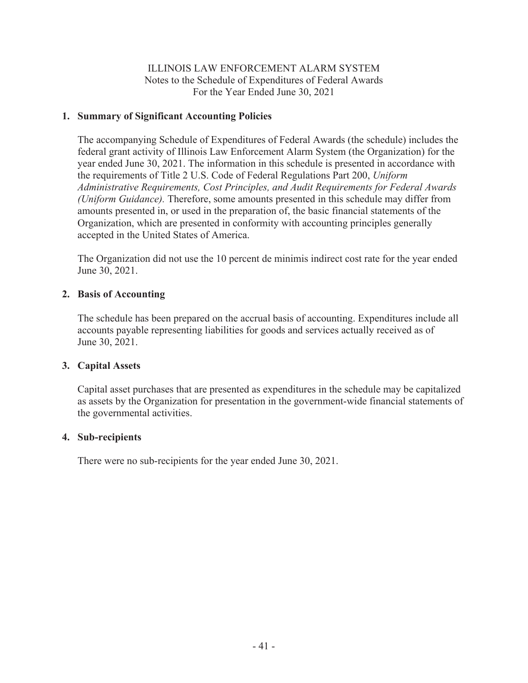# **1. Summary of Significant Accounting Policies**

The accompanying Schedule of Expenditures of Federal Awards (the schedule) includes the federal grant activity of Illinois Law Enforcement Alarm System (the Organization) for the year ended June 30, 2021. The information in this schedule is presented in accordance with the requirements of Title 2 U.S. Code of Federal Regulations Part 200, *Uniform Administrative Requirements, Cost Principles, and Audit Requirements for Federal Awards (Uniform Guidance).* Therefore, some amounts presented in this schedule may differ from amounts presented in, or used in the preparation of, the basic financial statements of the Organization, which are presented in conformity with accounting principles generally accepted in the United States of America.

The Organization did not use the 10 percent de minimis indirect cost rate for the year ended June 30, 2021.

# **2. Basis of Accounting**

The schedule has been prepared on the accrual basis of accounting. Expenditures include all accounts payable representing liabilities for goods and services actually received as of June 30, 2021.

# **3. Capital Assets**

Capital asset purchases that are presented as expenditures in the schedule may be capitalized as assets by the Organization for presentation in the government-wide financial statements of the governmental activities.

# **4. Sub-recipients**

There were no sub-recipients for the year ended June 30, 2021.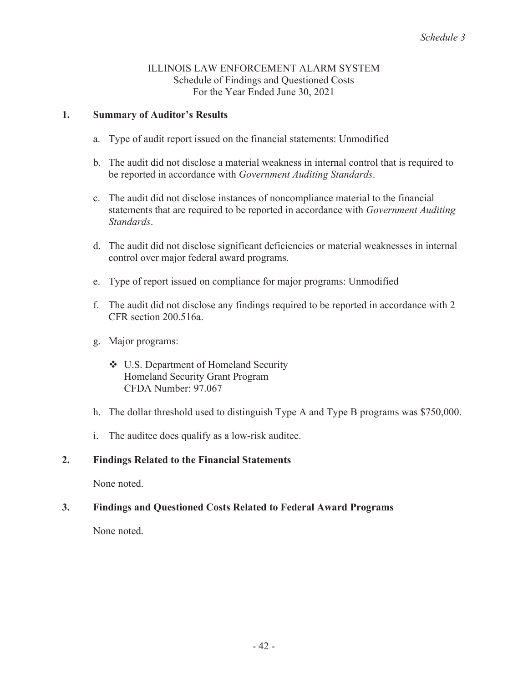### ILLINOIS LAW ENFORCEMENT ALARM SYSTEM Schedule of Findings and Questioned Costs For the Year Ended June 30, 2021

#### **1. Summary of Auditor's Results**

- a. Type of audit report issued on the financial statements: Unmodified
- b. The audit did not disclose a material weakness in internal control that is required to be reported in accordance with *Government Auditing Standards*.
- c. The audit did not disclose instances of noncompliance material to the financial statements that are required to be reported in accordance with *Government Auditing Standards*.
- d. The audit did not disclose significant deficiencies or material weaknesses in internal control over major federal award programs.
- e. Type of report issued on compliance for major programs: Unmodified
- f. The audit did not disclose any findings required to be reported in accordance with 2 CFR section 200.516a.
- g. Major programs:
	- U.S. Department of Homeland Security Homeland Security Grant Program CFDA Number: 97.067
- h. The dollar threshold used to distinguish Type A and Type B programs was \$750,000.
- i. The auditee does qualify as a low-risk auditee.

# **2. Findings Related to the Financial Statements**

None noted.

# **3. Findings and Questioned Costs Related to Federal Award Programs**

None noted.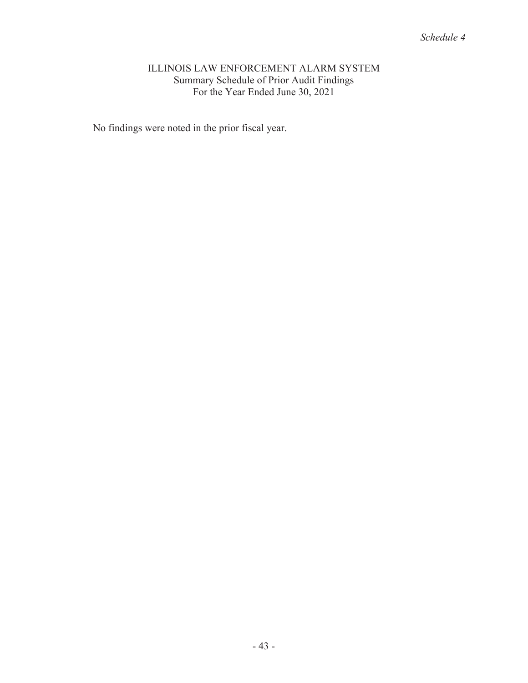# ILLINOIS LAW ENFORCEMENT ALARM SYSTEM Summary Schedule of Prior Audit Findings For the Year Ended June 30, 2021

No findings were noted in the prior fiscal year.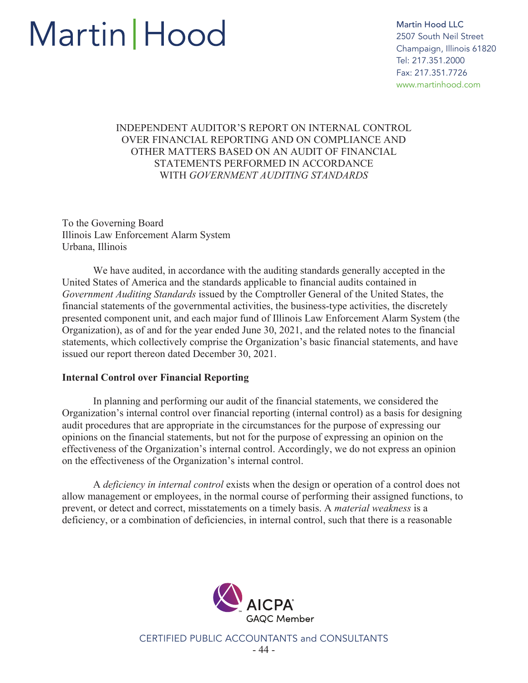# Martin | Hood

Martin Hood LLC 2507 South Neil Street Champaign, Illinois 61820 Tel: 217.351.2000 Fax: 217.351.7726 www.martinhood.com

# INDEPENDENT AUDITOR'S REPORT ON INTERNAL CONTROL OVER FINANCIAL REPORTING AND ON COMPLIANCE AND OTHER MATTERS BASED ON AN AUDIT OF FINANCIAL STATEMENTS PERFORMED IN ACCORDANCE WITH *GOVERNMENT AUDITING STANDARDS*

To the Governing Board Illinois Law Enforcement Alarm System Urbana, Illinois

We have audited, in accordance with the auditing standards generally accepted in the United States of America and the standards applicable to financial audits contained in *Government Auditing Standards* issued by the Comptroller General of the United States, the financial statements of the governmental activities, the business-type activities, the discretely presented component unit, and each major fund of Illinois Law Enforcement Alarm System (the Organization), as of and for the year ended June 30, 2021, and the related notes to the financial statements, which collectively comprise the Organization's basic financial statements, and have issued our report thereon dated December 30, 2021.

#### **Internal Control over Financial Reporting**

In planning and performing our audit of the financial statements, we considered the Organization's internal control over financial reporting (internal control) as a basis for designing audit procedures that are appropriate in the circumstances for the purpose of expressing our opinions on the financial statements, but not for the purpose of expressing an opinion on the effectiveness of the Organization's internal control. Accordingly, we do not express an opinion on the effectiveness of the Organization's internal control.

 A *deficiency in internal control* exists when the design or operation of a control does not allow management or employees, in the normal course of performing their assigned functions, to prevent, or detect and correct, misstatements on a timely basis. A *material weakness* is a deficiency, or a combination of deficiencies, in internal control, such that there is a reasonable



CERTIFIED PUBLIC ACCOUNTANTS and CONSULTANTS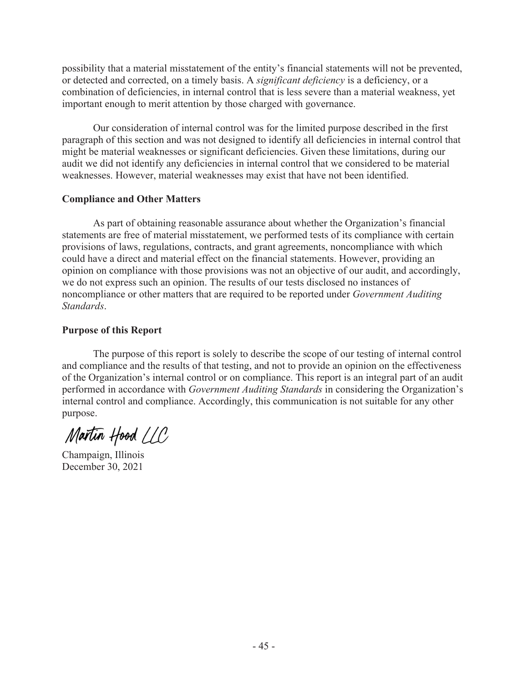possibility that a material misstatement of the entity's financial statements will not be prevented, or detected and corrected, on a timely basis. A *significant deficiency* is a deficiency, or a combination of deficiencies, in internal control that is less severe than a material weakness, yet important enough to merit attention by those charged with governance.

Our consideration of internal control was for the limited purpose described in the first paragraph of this section and was not designed to identify all deficiencies in internal control that might be material weaknesses or significant deficiencies. Given these limitations, during our audit we did not identify any deficiencies in internal control that we considered to be material weaknesses. However, material weaknesses may exist that have not been identified.

# **Compliance and Other Matters**

As part of obtaining reasonable assurance about whether the Organization's financial statements are free of material misstatement, we performed tests of its compliance with certain provisions of laws, regulations, contracts, and grant agreements, noncompliance with which could have a direct and material effect on the financial statements. However, providing an opinion on compliance with those provisions was not an objective of our audit, and accordingly, we do not express such an opinion. The results of our tests disclosed no instances of noncompliance or other matters that are required to be reported under *Government Auditing Standards*.

# **Purpose of this Report**

The purpose of this report is solely to describe the scope of our testing of internal control and compliance and the results of that testing, and not to provide an opinion on the effectiveness of the Organization's internal control or on compliance. This report is an integral part of an audit performed in accordance with *Government Auditing Standards* in considering the Organization's internal control and compliance. Accordingly, this communication is not suitable for any other purpose.

Martin Hood LLC

Champaign, Illinois December 30, 2021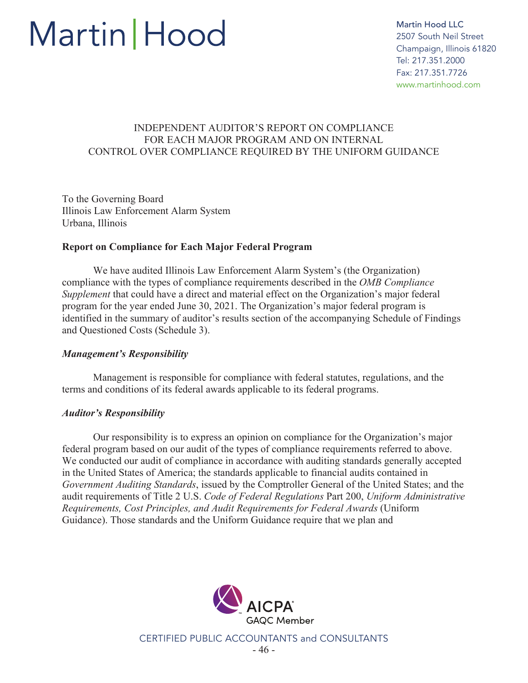# Martin | Hood

Martin Hood LLC 2507 South Neil Street Champaign, Illinois 61820 Tel: 217.351.2000 Fax: 217.351.7726 www.martinhood.com

# INDEPENDENT AUDITOR'S REPORT ON COMPLIANCE FOR EACH MAJOR PROGRAM AND ON INTERNAL CONTROL OVER COMPLIANCE REQUIRED BY THE UNIFORM GUIDANCE

To the Governing Board Illinois Law Enforcement Alarm System Urbana, Illinois

#### **Report on Compliance for Each Major Federal Program**

We have audited Illinois Law Enforcement Alarm System's (the Organization) compliance with the types of compliance requirements described in the *OMB Compliance Supplement* that could have a direct and material effect on the Organization's major federal program for the year ended June 30, 2021. The Organization's major federal program is identified in the summary of auditor's results section of the accompanying Schedule of Findings and Questioned Costs (Schedule 3).

# *Management's Responsibility*

Management is responsible for compliance with federal statutes, regulations, and the terms and conditions of its federal awards applicable to its federal programs.

#### *Auditor's Responsibility*

Our responsibility is to express an opinion on compliance for the Organization's major federal program based on our audit of the types of compliance requirements referred to above. We conducted our audit of compliance in accordance with auditing standards generally accepted in the United States of America; the standards applicable to financial audits contained in *Government Auditing Standards*, issued by the Comptroller General of the United States; and the audit requirements of Title 2 U.S. *Code of Federal Regulations* Part 200, *Uniform Administrative Requirements, Cost Principles, and Audit Requirements for Federal Awards* (Uniform Guidance). Those standards and the Uniform Guidance require that we plan and



CERTIFIED PUBLIC ACCOUNTANTS and CONSULTANTS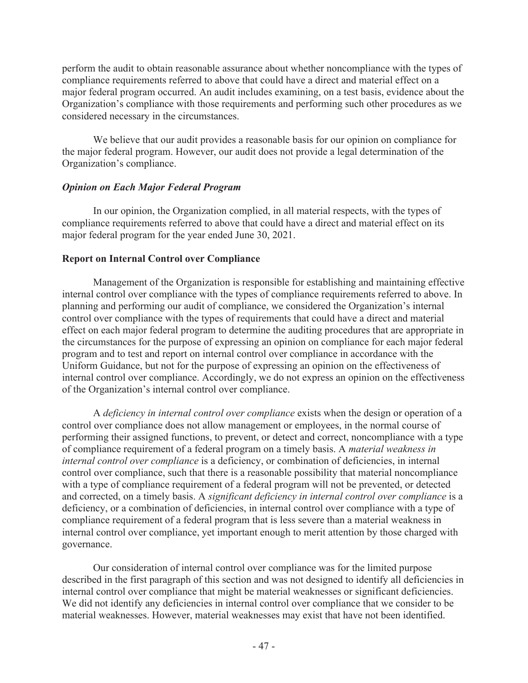perform the audit to obtain reasonable assurance about whether noncompliance with the types of compliance requirements referred to above that could have a direct and material effect on a major federal program occurred. An audit includes examining, on a test basis, evidence about the Organization's compliance with those requirements and performing such other procedures as we considered necessary in the circumstances.

We believe that our audit provides a reasonable basis for our opinion on compliance for the major federal program. However, our audit does not provide a legal determination of the Organization's compliance.

# *Opinion on Each Major Federal Program*

In our opinion, the Organization complied, in all material respects, with the types of compliance requirements referred to above that could have a direct and material effect on its major federal program for the year ended June 30, 2021.

# **Report on Internal Control over Compliance**

Management of the Organization is responsible for establishing and maintaining effective internal control over compliance with the types of compliance requirements referred to above. In planning and performing our audit of compliance, we considered the Organization's internal control over compliance with the types of requirements that could have a direct and material effect on each major federal program to determine the auditing procedures that are appropriate in the circumstances for the purpose of expressing an opinion on compliance for each major federal program and to test and report on internal control over compliance in accordance with the Uniform Guidance, but not for the purpose of expressing an opinion on the effectiveness of internal control over compliance. Accordingly, we do not express an opinion on the effectiveness of the Organization's internal control over compliance.

 A *deficiency in internal control over compliance* exists when the design or operation of a control over compliance does not allow management or employees, in the normal course of performing their assigned functions, to prevent, or detect and correct, noncompliance with a type of compliance requirement of a federal program on a timely basis. A *material weakness in internal control over compliance* is a deficiency, or combination of deficiencies, in internal control over compliance, such that there is a reasonable possibility that material noncompliance with a type of compliance requirement of a federal program will not be prevented, or detected and corrected, on a timely basis. A *significant deficiency in internal control over compliance* is a deficiency, or a combination of deficiencies, in internal control over compliance with a type of compliance requirement of a federal program that is less severe than a material weakness in internal control over compliance, yet important enough to merit attention by those charged with governance.

Our consideration of internal control over compliance was for the limited purpose described in the first paragraph of this section and was not designed to identify all deficiencies in internal control over compliance that might be material weaknesses or significant deficiencies. We did not identify any deficiencies in internal control over compliance that we consider to be material weaknesses. However, material weaknesses may exist that have not been identified.